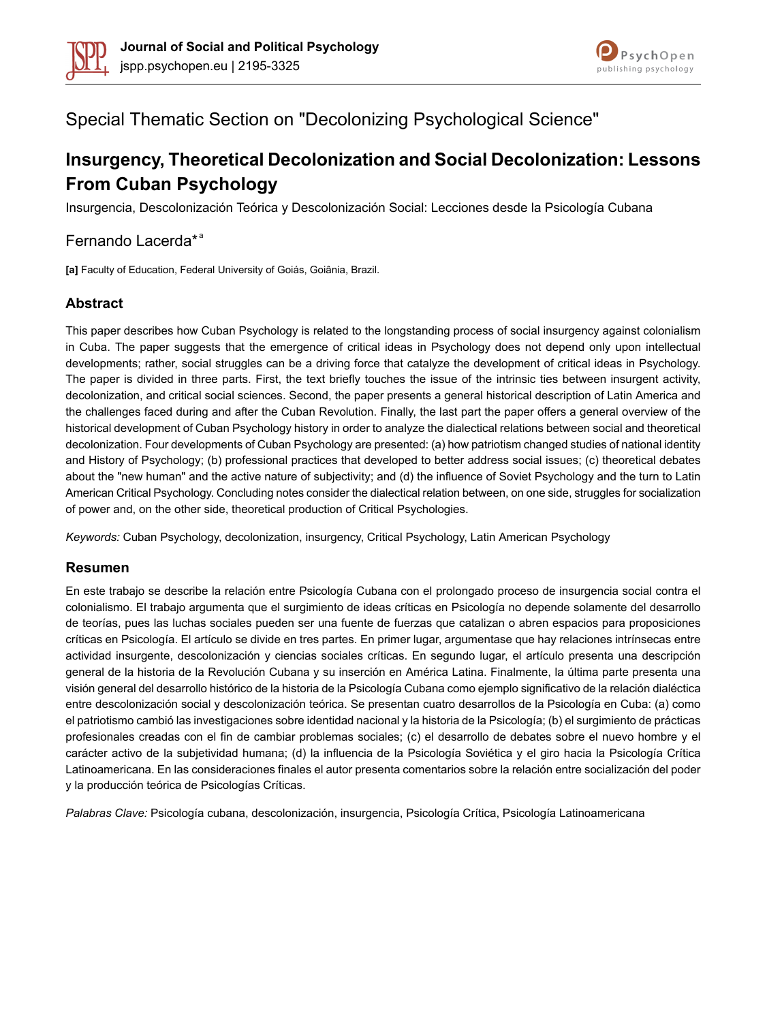



# Special Thematic Section on "Decolonizing Psychological Science"

# **Insurgency, Theoretical Decolonization and Social Decolonization: Lessons From Cuban Psychology**

Insurgencia, Descolonización Teórica y Descolonización Social: Lecciones desde la Psicología Cubana

### Fernando Lacerda\*<sup>ª</sup>

**[a]** Faculty of Education, Federal University of Goiás, Goiânia, Brazil.

### **Abstract**

This paper describes how Cuban Psychology is related to the longstanding process of social insurgency against colonialism in Cuba. The paper suggests that the emergence of critical ideas in Psychology does not depend only upon intellectual developments; rather, social struggles can be a driving force that catalyze the development of critical ideas in Psychology. The paper is divided in three parts. First, the text briefly touches the issue of the intrinsic ties between insurgent activity, decolonization, and critical social sciences. Second, the paper presents a general historical description of Latin America and the challenges faced during and after the Cuban Revolution. Finally, the last part the paper offers a general overview of the historical development of Cuban Psychology history in order to analyze the dialectical relations between social and theoretical decolonization. Four developments of Cuban Psychology are presented: (a) how patriotism changed studies of national identity and History of Psychology; (b) professional practices that developed to better address social issues; (c) theoretical debates about the "new human" and the active nature of subjectivity; and (d) the influence of Soviet Psychology and the turn to Latin American Critical Psychology. Concluding notes consider the dialectical relation between, on one side, struggles for socialization of power and, on the other side, theoretical production of Critical Psychologies.

*Keywords:* Cuban Psychology, decolonization, insurgency, Critical Psychology, Latin American Psychology

#### **Resumen**

En este trabajo se describe la relación entre Psicología Cubana con el prolongado proceso de insurgencia social contra el colonialismo. El trabajo argumenta que el surgimiento de ideas críticas en Psicología no depende solamente del desarrollo de teorías, pues las luchas sociales pueden ser una fuente de fuerzas que catalizan o abren espacios para proposiciones críticas en Psicología. El artículo se divide en tres partes. En primer lugar, argumentase que hay relaciones intrínsecas entre actividad insurgente, descolonización y ciencias sociales críticas. En segundo lugar, el artículo presenta una descripción general de la historia de la Revolución Cubana y su inserción en América Latina. Finalmente, la última parte presenta una visión general del desarrollo histórico de la historia de la Psicología Cubana como ejemplo significativo de la relación dialéctica entre descolonización social y descolonización teórica. Se presentan cuatro desarrollos de la Psicología en Cuba: (a) como el patriotismo cambió las investigaciones sobre identidad nacional y la historia de la Psicología; (b) el surgimiento de prácticas profesionales creadas con el fin de cambiar problemas sociales; (c) el desarrollo de debates sobre el nuevo hombre y el carácter activo de la subjetividad humana; (d) la influencia de la Psicología Soviética y el giro hacia la Psicología Crítica Latinoamericana. En las consideraciones finales el autor presenta comentarios sobre la relación entre socialización del poder y la producción teórica de Psicologías Críticas.

*Palabras Clave:* Psicología cubana, descolonización, insurgencia, Psicología Crítica, Psicología Latinoamericana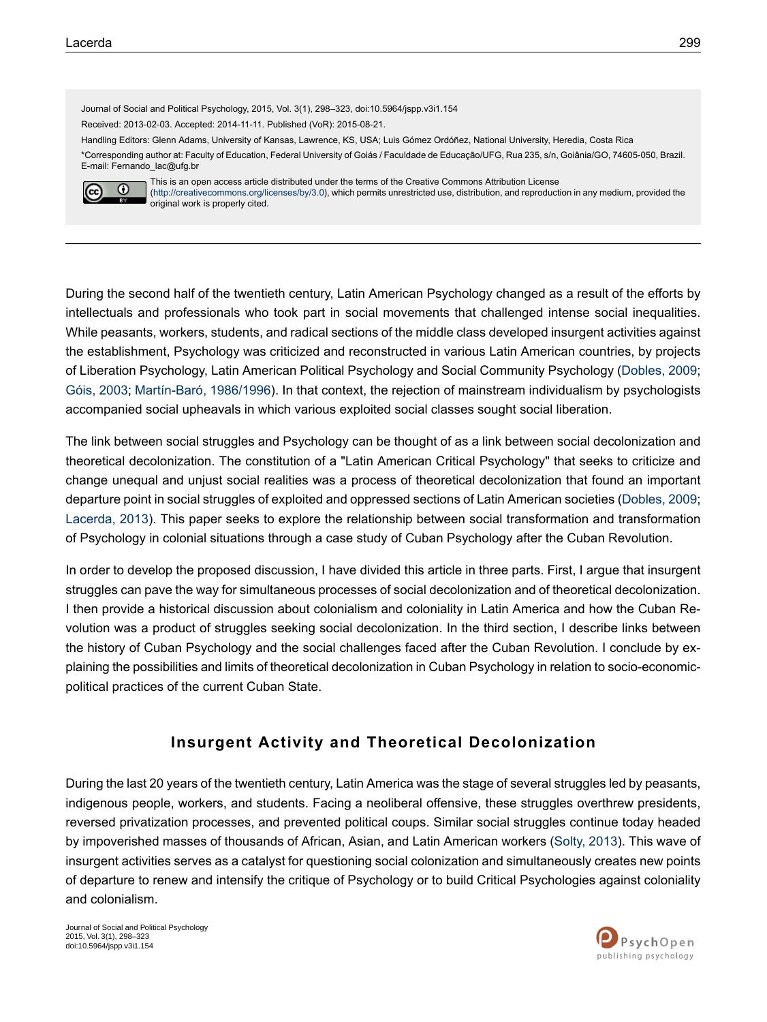original work is properly cited.

Journal of Social and Political Psychology, 2015, Vol. 3(1), 298–323, doi:10.5964/jspp.v3i1.154 Received: 2013-02-03. Accepted: 2014-11-11. Published (VoR): 2015-08-21. Handling Editors: Glenn Adams, University of Kansas, Lawrence, KS, USA; Luis Gómez Ordóñez, National University, Heredia, Costa Rica \*Corresponding author at: Faculty of Education, Federal University of Goiás / Faculdade de Educação/UFG, Rua 235, s/n, Goiânia/GO, 74605-050, Brazil. E-mail: Fernando\_lac@ufg.br This is an open access article distributed under the terms of the Creative Commons Attribution License  $\odot$  $(cc)$ [\(http://creativecommons.org/licenses/by/3.0\)](http://creativecommons.org/licenses/by/3.0), which permits unrestricted use, distribution, and reproduction in any medium, provided the

During the second half of the twentieth century, Latin American Psychology changed as a result of the efforts by intellectuals and professionals who took part in social movements that challenged intense social inequalities. While peasants, workers, students, and radical sections of the middle class developed insurgent activities against the establishment, Psychology was criticized and reconstructed in various Latin American countries, by projects of Liberation Psychology, Latin American Political Psychology and Social Community Psychology ([Dobles,](#page-21-0) 2009; [Góis,](#page-22-0) 2003; [Martín-Baró,](#page-23-0) 1986/1996). In that context, the rejection of mainstream individualism by psychologists accompanied social upheavals in which various exploited social classes sought social liberation.

The link between social struggles and Psychology can be thought of as a link between social decolonization and theoretical decolonization. The constitution of a "Latin American Critical Psychology" that seeks to criticize and change unequal and unjust social realities was a process of theoretical decolonization that found an important departure point in social struggles of exploited and oppressed sections of Latin American societies [\(Dobles,](#page-21-0) 2009; [Lacerda,](#page-23-1) 2013). This paper seeks to explore the relationship between social transformation and transformation of Psychology in colonial situations through a case study of Cuban Psychology after the Cuban Revolution.

In order to develop the proposed discussion, I have divided this article in three parts. First, I argue that insurgent struggles can pave the way for simultaneous processes of social decolonization and of theoretical decolonization. I then provide a historical discussion about colonialism and coloniality in Latin America and how the Cuban Revolution was a product of struggles seeking social decolonization. In the third section, I describe links between the history of Cuban Psychology and the social challenges faced after the Cuban Revolution. I conclude by explaining the possibilities and limits of theoretical decolonization in Cuban Psychology in relation to socio-economicpolitical practices of the current Cuban State.

# **Insurgent Activity and Theoretical Decolonization**

During the last 20 years of the twentieth century, Latin America was the stage of several struggles led by peasants, indigenous people, workers, and students. Facing a neoliberal offensive, these struggles overthrew presidents, reversed privatization processes, and prevented political coups. Similar social struggles continue today headed by impoverished masses of thousands of African, Asian, and Latin American workers ([Solty,](#page-24-0) 2013). This wave of insurgent activities serves as a catalyst for questioning social colonization and simultaneously creates new points of departure to renew and intensify the critique of Psychology or to build Critical Psychologies against coloniality and colonialism.

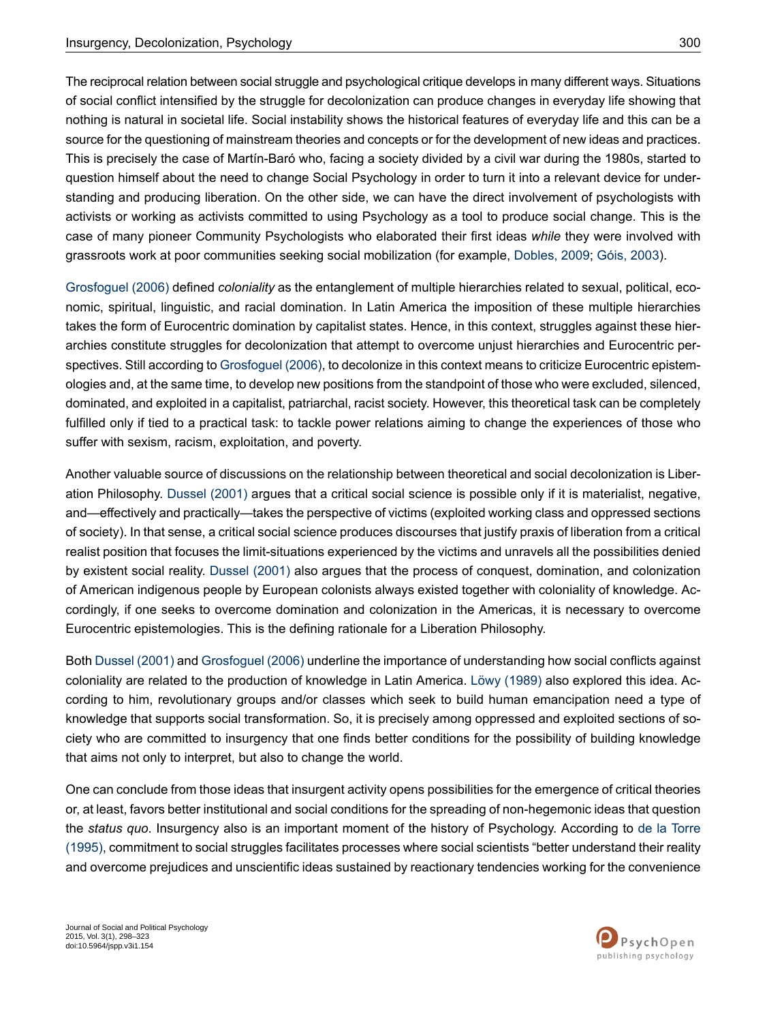The reciprocal relation between social struggle and psychological critique develops in many different ways. Situations of social conflict intensified by the struggle for decolonization can produce changes in everyday life showing that nothing is natural in societal life. Social instability shows the historical features of everyday life and this can be a source for the questioning of mainstream theories and concepts or for the development of new ideas and practices. This is precisely the case of Martín-Baró who, facing a society divided by a civil war during the 1980s, started to question himself about the need to change Social Psychology in order to turn it into a relevant device for understanding and producing liberation. On the other side, we can have the direct involvement of psychologists with activists or working as activists committed to using Psychology as a tool to produce social change. This is the case of many pioneer Community Psychologists who elaborated their first ideas *while* they were involved with grassroots work at poor communities seeking social mobilization (for example, [Dobles,](#page-21-0) 2009; [Góis,](#page-22-0) 2003).

[Grosfoguel](#page-23-2) (2006) defined *coloniality* as the entanglement of multiple hierarchies related to sexual, political, economic, spiritual, linguistic, and racial domination. In Latin America the imposition of these multiple hierarchies takes the form of Eurocentric domination by capitalist states. Hence, in this context, struggles against these hierarchies constitute struggles for decolonization that attempt to overcome unjust hierarchies and Eurocentric per-spectives. Still according to [Grosfoguel](#page-23-2) (2006), to decolonize in this context means to criticize Eurocentric epistemologies and, at the same time, to develop new positions from the standpoint of those who were excluded, silenced, dominated, and exploited in a capitalist, patriarchal, racist society. However, this theoretical task can be completely fulfilled only if tied to a practical task: to tackle power relations aiming to change the experiences of those who suffer with sexism, racism, exploitation, and poverty.

Another valuable source of discussions on the relationship between theoretical and social decolonization is Liberation Philosophy. [Dussel](#page-21-1) (2001) argues that a critical social science is possible only if it is materialist, negative, and—effectively and practically—takes the perspective of victims (exploited working class and oppressed sections of society). In that sense, a critical social science produces discourses that justify praxis of liberation from a critical realist position that focuses the limit-situations experienced by the victims and unravels all the possibilities denied by existent social reality. [Dussel](#page-21-1) (2001) also argues that the process of conquest, domination, and colonization of American indigenous people by European colonists always existed together with coloniality of knowledge. Accordingly, if one seeks to overcome domination and colonization in the Americas, it is necessary to overcome Eurocentric epistemologies. This is the defining rationale for a Liberation Philosophy.

Both [Dussel](#page-21-1) (2001) and [Grosfoguel](#page-23-2) (2006) underline the importance of understanding how social conflicts against coloniality are related to the production of knowledge in Latin America. Löwy [\(1989\)](#page-23-3) also explored this idea. According to him, revolutionary groups and/or classes which seek to build human emancipation need a type of knowledge that supports social transformation. So, it is precisely among oppressed and exploited sections of society who are committed to insurgency that one finds better conditions for the possibility of building knowledge that aims not only to interpret, but also to change the world.

One can conclude from those ideas that insurgent activity opens possibilities for the emergence of critical theories or, at least, favors better institutional and social conditions for the spreading of non-hegemonic ideas that question the *status quo*. Insurgency also is an important moment of the history of Psychology. According to de la [Torre](#page-21-2) [\(1995\),](#page-21-2) commitment to social struggles facilitates processes where social scientists "better understand their reality and overcome prejudices and unscientific ideas sustained by reactionary tendencies working for the convenience

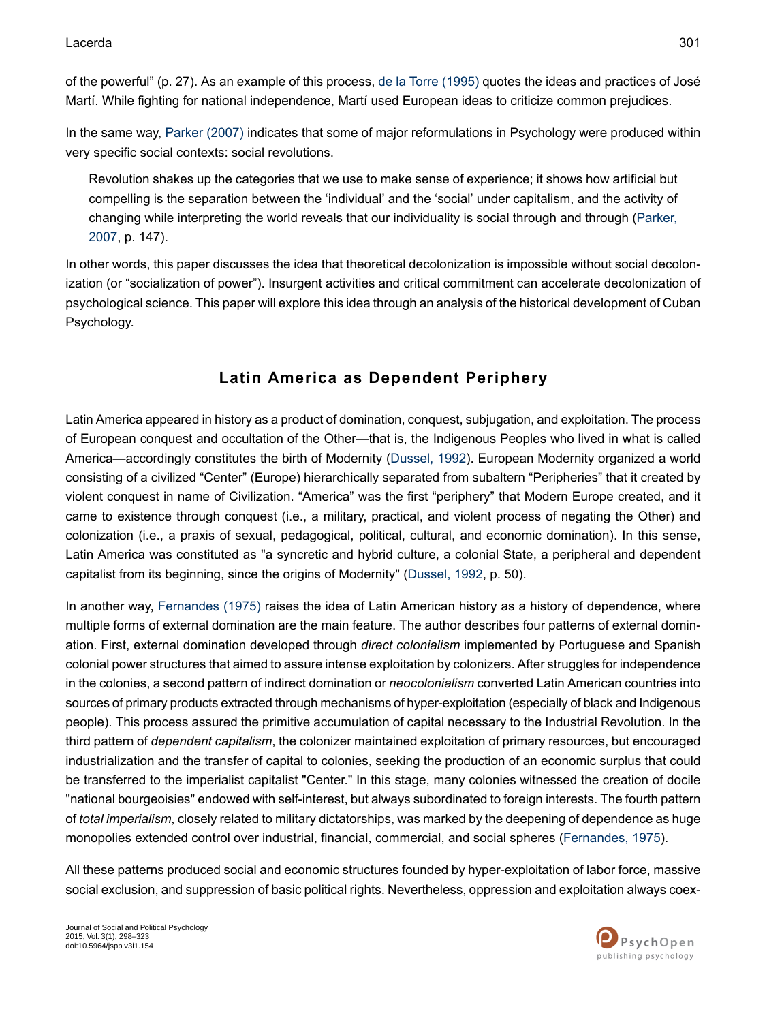of the powerful" (p. 27). As an example of this process, de la Torre [\(1995\)](#page-21-2) quotes the ideas and practices of José Martí. While fighting for national independence, Martí used European ideas to criticize common prejudices.

In the same way, [Parker](#page-24-1) (2007) indicates that some of major reformulations in Psychology were produced within very specific social contexts: social revolutions.

Revolution shakes up the categories that we use to make sense of experience; it shows how artificial but compelling is the separation between the 'individual' and the 'social' under capitalism, and the activity of changing while interpreting the world reveals that our individuality is social through and through ([Parker,](#page-24-1) [2007](#page-24-1), p. 147).

In other words, this paper discusses the idea that theoretical decolonization is impossible without social decolonization (or "socialization of power"). Insurgent activities and critical commitment can accelerate decolonization of psychological science. This paper will explore this idea through an analysis of the historical development of Cuban Psychology.

# **Latin America as Dependent Periphery**

Latin America appeared in history as a product of domination, conquest, subjugation, and exploitation. The process of European conquest and occultation of the Other—that is, the Indigenous Peoples who lived in what is called America—accordingly constitutes the birth of Modernity [\(Dussel,](#page-21-3) 1992). European Modernity organized a world consisting of a civilized "Center" (Europe) hierarchically separated from subaltern "Peripheries" that it created by violent conquest in name of Civilization. "America" was the first "periphery" that Modern Europe created, and it came to existence through conquest (i.e., a military, practical, and violent process of negating the Other) and colonization (i.e., a praxis of sexual, pedagogical, political, cultural, and economic domination). In this sense, Latin America was constituted as "a syncretic and hybrid culture, a colonial State, a peripheral and dependent capitalist from its beginning, since the origins of Modernity" ([Dussel,](#page-21-3) 1992, p. 50).

In another way, [Fernandes](#page-21-4) (1975) raises the idea of Latin American history as a history of dependence, where multiple forms of external domination are the main feature. The author describes four patterns of external domination. First, external domination developed through *direct colonialism* implemented by Portuguese and Spanish colonial power structures that aimed to assure intense exploitation by colonizers. After struggles for independence in the colonies, a second pattern of indirect domination or *neocolonialism* converted Latin American countries into sources of primary products extracted through mechanisms of hyper-exploitation (especially of black and Indigenous people). This process assured the primitive accumulation of capital necessary to the Industrial Revolution. In the third pattern of *dependent capitalism*, the colonizer maintained exploitation of primary resources, but encouraged industrialization and the transfer of capital to colonies, seeking the production of an economic surplus that could be transferred to the imperialist capitalist "Center." In this stage, many colonies witnessed the creation of docile "national bourgeoisies" endowed with self-interest, but always subordinated to foreign interests. The fourth pattern of *total imperialism*, closely related to military dictatorships, was marked by the deepening of dependence as huge monopolies extended control over industrial, financial, commercial, and social spheres ([Fernandes,](#page-21-4) 1975).

All these patterns produced social and economic structures founded by hyper-exploitation of labor force, massive social exclusion, and suppression of basic political rights. Nevertheless, oppression and exploitation always coex-

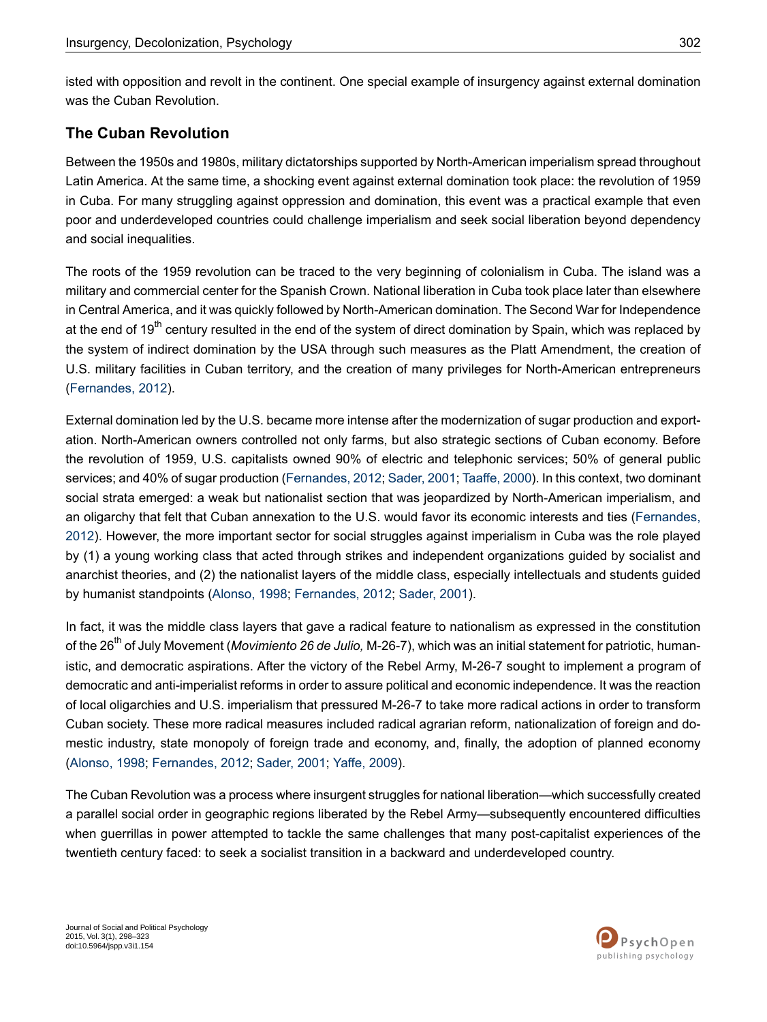isted with opposition and revolt in the continent. One special example of insurgency against external domination was the Cuban Revolution.

# **The Cuban Revolution**

Between the 1950s and 1980s, military dictatorships supported by North-American imperialism spread throughout Latin America. At the same time, a shocking event against external domination took place: the revolution of 1959 in Cuba. For many struggling against oppression and domination, this event was a practical example that even poor and underdeveloped countries could challenge imperialism and seek social liberation beyond dependency and social inequalities.

The roots of the 1959 revolution can be traced to the very beginning of colonialism in Cuba. The island was a military and commercial center for the Spanish Crown. National liberation in Cuba took place later than elsewhere in Central America, and it was quickly followed by North-American domination. The Second War for Independence at the end of 19<sup>th</sup> century resulted in the end of the system of direct domination by Spain, which was replaced by the system of indirect domination by the USA through such measures as the Platt Amendment, the creation of U.S. military facilities in Cuban territory, and the creation of many privileges for North-American entrepreneurs [\(Fernandes,](#page-21-5) 2012).

External domination led by the U.S. became more intense after the modernization of sugar production and exportation. North-American owners controlled not only farms, but also strategic sections of Cuban economy. Before the revolution of 1959, U.S. capitalists owned 90% of electric and telephonic services; 50% of general public services; and 40% of sugar production [\(Fernandes,](#page-21-5) 2012; [Sader,](#page-24-2) 2001; [Taaffe,](#page-24-3) 2000). In this context, two dominant social strata emerged: a weak but nationalist section that was jeopardized by North-American imperialism, and an oligarchy that felt that Cuban annexation to the U.S. would favor its economic interests and ties ([Fernandes,](#page-21-5) [2012](#page-21-5)). However, the more important sector for social struggles against imperialism in Cuba was the role played by (1) a young working class that acted through strikes and independent organizations guided by socialist and anarchist theories, and (2) the nationalist layers of the middle class, especially intellectuals and students guided by humanist standpoints ([Alonso,](#page-20-0) 1998; [Fernandes,](#page-21-5) 2012; [Sader,](#page-24-2) 2001).

In fact, it was the middle class layers that gave a radical feature to nationalism as expressed in the constitution of the 26th of July Movement (*Movimiento 26 de Julio,* M-26-7), which was an initial statement for patriotic, humanistic, and democratic aspirations. After the victory of the Rebel Army, M-26-7 sought to implement a program of democratic and anti-imperialist reforms in order to assure political and economic independence. It was the reaction of local oligarchies and U.S. imperialism that pressured M-26-7 to take more radical actions in order to transform Cuban society. These more radical measures included radical agrarian reform, nationalization of foreign and domestic industry, state monopoly of foreign trade and economy, and, finally, the adoption of planned economy [\(Alonso,](#page-20-0) 1998; [Fernandes,](#page-21-5) 2012; [Sader,](#page-24-2) 2001; [Yaffe,](#page-25-0) 2009).

The Cuban Revolution was a process where insurgent struggles for national liberation—which successfully created a parallel social order in geographic regions liberated by the Rebel Army—subsequently encountered difficulties when guerrillas in power attempted to tackle the same challenges that many post-capitalist experiences of the twentieth century faced: to seek a socialist transition in a backward and underdeveloped country.

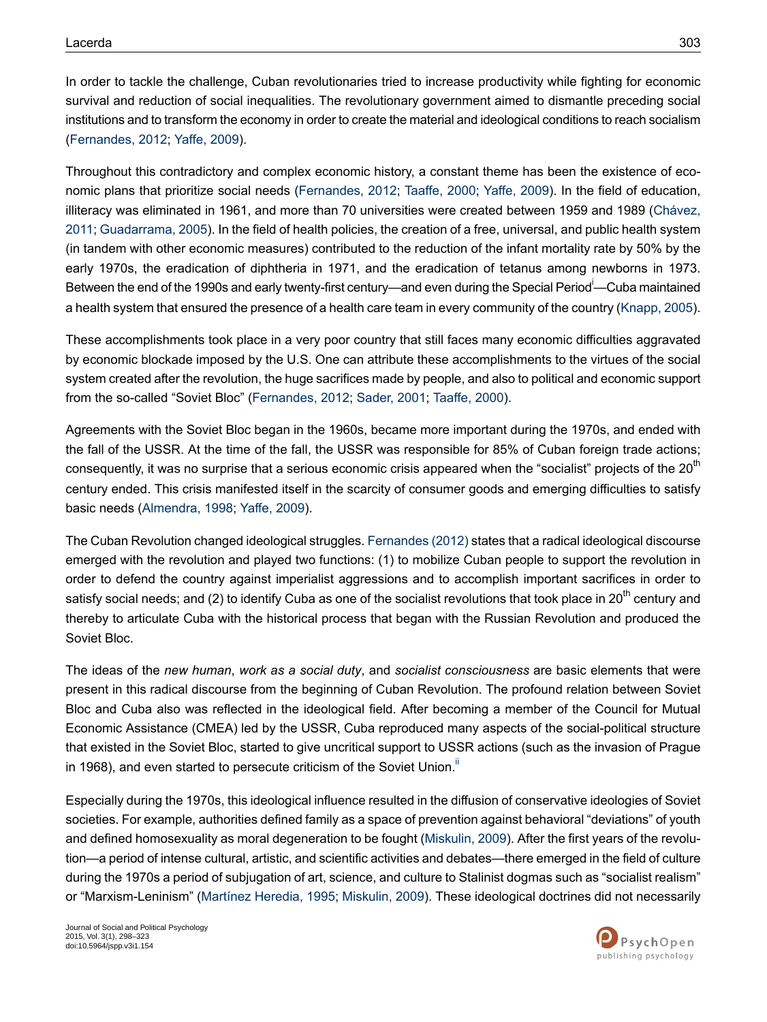In order to tackle the challenge, Cuban revolutionaries tried to increase productivity while fighting for economic survival and reduction of social inequalities. The revolutionary government aimed to dismantle preceding social institutions and to transform the economy in order to create the material and ideological conditions to reach socialism [\(Fernandes,](#page-21-5) 2012; [Yaffe,](#page-25-0) 2009).

Throughout this contradictory and complex economic history, a constant theme has been the existence of economic plans that prioritize social needs [\(Fernandes,](#page-21-5) 2012; [Taaffe,](#page-24-3) 2000; [Yaffe,](#page-25-0) 2009). In the field of education, illiteracy was eliminated in 1961, and more than 70 universities were created between 1959 and 1989 ([Chávez,](#page-21-6) [2011;](#page-21-6) [Guadarrama,](#page-23-4) 2005). In the field of health policies, the creation of a free, universal, and public health system (in tandem with other economic measures) contributed to the reduction of the infant mortality rate by 50% by the early 1970s, the eradication of diphtheria in 1971, and the eradication of tetanus among newborns in 1973. Between the end of the 1990s and early twenty-f[i](#page-19-0)rst century—and even during the Special Period<sup>i</sup>—Cuba maintained a health system that ensured the presence of a health care team in every community of the country (Knapp, 2005).

These accomplishments took place in a very poor country that still faces many economic difficulties aggravated by economic blockade imposed by the U.S. One can attribute these accomplishments to the virtues of the social system created after the revolution, the huge sacrifices made by people, and also to political and economic support from the so-called "Soviet Bloc" ([Fernandes,](#page-21-5) 2012; [Sader,](#page-24-2) 2001; [Taaffe,](#page-24-3) 2000).

Agreements with the Soviet Bloc began in the 1960s, became more important during the 1970s, and ended with the fall of the USSR. At the time of the fall, the USSR was responsible for 85% of Cuban foreign trade actions; consequently, it was no surprise that a serious economic crisis appeared when the "socialist" projects of the 20<sup>th</sup> century ended. This crisis manifested itself in the scarcity of consumer goods and emerging difficulties to satisfy basic needs [\(Almendra,](#page-20-1) 1998; [Yaffe,](#page-25-0) 2009).

The Cuban Revolution changed ideological struggles. [Fernandes](#page-21-5) (2012) states that a radical ideological discourse emerged with the revolution and played two functions: (1) to mobilize Cuban people to support the revolution in order to defend the country against imperialist aggressions and to accomplish important sacrifices in order to satisfy social needs; and (2) to identify Cuba as one of the socialist revolutions that took place in 20<sup>th</sup> century and thereby to articulate Cuba with the historical process that began with the Russian Revolution and produced the Soviet Bloc.

The ideas of the *new human*, *work as a social duty*, and *socialist consciousness* are basic elements that were present in this radical discourse from the beginning of Cuban Revolution. The profound relation between Soviet Bloc and Cuba also was reflected in the ideological field. After becoming a member of the Council for Mutual Economic Assistance (CMEA) led by the USSR, Cuba reproduced many aspects of the social-political structure that existed in the Soviet Bloc, started to give uncritical support to USSR actions (such as the invasion of Prague in 1968), and even started to persecute criticism of the Soviet Union.<sup>"</sup>

Especially during the 1970s, this ideological influence resulted in the diffusion of conservative ideologies of Soviet societies. For example, authorities defined family as a space of prevention against behavioral "deviations" of youth and defined homosexuality as moral degeneration to be fought ([Miskulin,](#page-23-6) 2009). After the first years of the revolution—a period of intense cultural, artistic, and scientific activities and debates—there emerged in the field of culture during the 1970s a period of subjugation of art, science, and culture to Stalinist dogmas such as "socialist realism" or "Marxism-Leninism" [\(Martínez](#page-23-7) Heredia, 1995; [Miskulin,](#page-23-6) 2009). These ideological doctrines did not necessarily

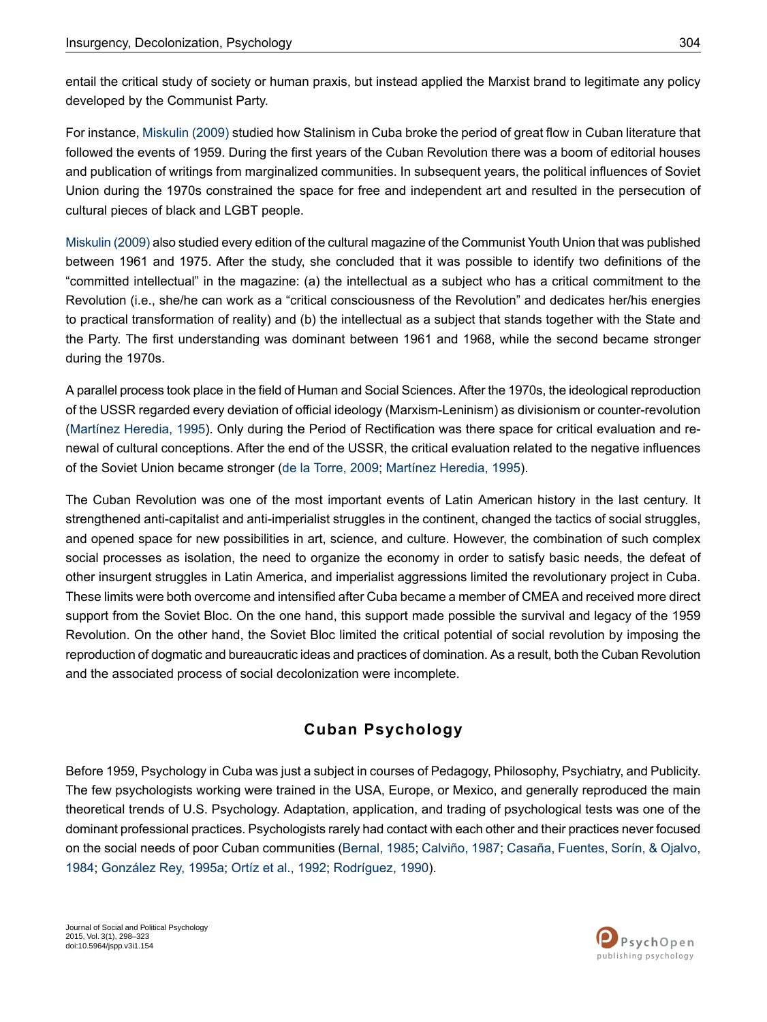entail the critical study of society or human praxis, but instead applied the Marxist brand to legitimate any policy developed by the Communist Party.

For instance, [Miskulin](#page-23-6) (2009) studied how Stalinism in Cuba broke the period of great flow in Cuban literature that followed the events of 1959. During the first years of the Cuban Revolution there was a boom of editorial houses and publication of writings from marginalized communities. In subsequent years, the political influences of Soviet Union during the 1970s constrained the space for free and independent art and resulted in the persecution of cultural pieces of black and LGBT people.

Miskulin (2009) also studied every edition of the cultural magazine of the Communist Youth Union that was published between 1961 and 1975. After the study, she concluded that it was possible to identify two definitions of the "committed intellectual" in the magazine: (a) the intellectual as a subject who has a critical commitment to the Revolution (i.e., she/he can work as a "critical consciousness of the Revolution" and dedicates her/his energies to practical transformation of reality) and (b) the intellectual as a subject that stands together with the State and the Party. The first understanding was dominant between 1961 and 1968, while the second became stronger during the 1970s.

A parallel process took place in the field of Human and Social Sciences. After the 1970s, the ideological reproduction of the USSR regarded every deviation of official ideology (Marxism-Leninism) as divisionism or counter-revolution [\(Martínez](#page-23-7) Heredia, 1995). Only during the Period of Rectification was there space for critical evaluation and renewal of cultural conceptions. After the end of the USSR, the critical evaluation related to the negative influences of the Soviet Union became stronger (de la [Torre,](#page-21-7) 2009; [Martínez](#page-23-7) Heredia, 1995).

The Cuban Revolution was one of the most important events of Latin American history in the last century. It strengthened anti-capitalist and anti-imperialist struggles in the continent, changed the tactics of social struggles, and opened space for new possibilities in art, science, and culture. However, the combination of such complex social processes as isolation, the need to organize the economy in order to satisfy basic needs, the defeat of other insurgent struggles in Latin America, and imperialist aggressions limited the revolutionary project in Cuba. These limits were both overcome and intensified after Cuba became a member of CMEA and received more direct support from the Soviet Bloc. On the one hand, this support made possible the survival and legacy of the 1959 Revolution. On the other hand, the Soviet Bloc limited the critical potential of social revolution by imposing the reproduction of dogmatic and bureaucratic ideas and practices of domination. As a result, both the Cuban Revolution and the associated process of social decolonization were incomplete.

### **Cuban Psychology**

Before 1959, Psychology in Cuba was just a subject in courses of Pedagogy, Philosophy, Psychiatry, and Publicity. The few psychologists working were trained in the USA, Europe, or Mexico, and generally reproduced the main theoretical trends of U.S. Psychology. Adaptation, application, and trading of psychological tests was one of the dominant professional practices. Psychologists rarely had contact with each other and their practices never focused on the social needs of poor Cuban communities [\(Bernal,](#page-20-2) 1985; [Calviño,](#page-20-3) 1987; Casaña, [Fuentes,](#page-21-8) Sorín, & Ojalvo, [1984](#page-21-8); [González](#page-22-1) Rey, 1995a; Ortíz et al., [1992;](#page-24-4) [Rodríguez,](#page-24-5) 1990).

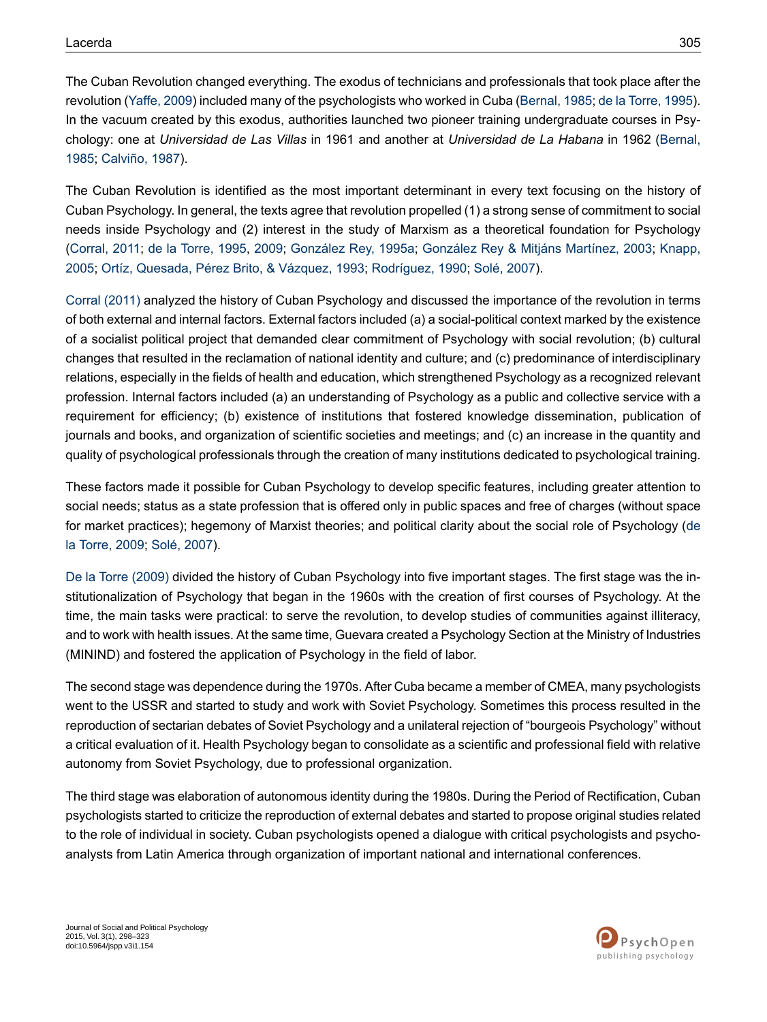The Cuban Revolution changed everything. The exodus of technicians and professionals that took place after the revolution ([Yaffe,](#page-25-0) 2009) included many of the psychologists who worked in Cuba ([Bernal,](#page-20-2) 1985; de la [Torre,](#page-21-2) 1995). In the vacuum created by this exodus, authorities launched two pioneer training undergraduate courses in Psychology: one at *Universidad de Las Villas* in 1961 and another at *Universidad de La Habana* in 1962 ([Bernal,](#page-20-2) [1985](#page-20-2); [Calviño,](#page-20-3) 1987).

The Cuban Revolution is identified as the most important determinant in every text focusing on the history of Cuban Psychology. In general, the texts agree that revolution propelled (1) a strong sense of commitment to social needs inside Psychology and (2) interest in the study of Marxism as a theoretical foundation for Psychology [\(Corral,](#page-21-9) 2011; de la [Torre,](#page-21-2) 1995, [2009;](#page-21-7) [González](#page-22-1) Rey, 1995a; [González](#page-22-2) Rey & Mitjáns Martínez, 2003; [Knapp,](#page-23-5) [2005](#page-23-5); Ortíz, [Quesada,](#page-24-6) Pérez Brito, & Vázquez, 1993; [Rodríguez,](#page-24-5) 1990; [Solé,](#page-24-7) 2007).

Corral [\(2011\)](#page-21-9) analyzed the history of Cuban Psychology and discussed the importance of the revolution in terms of both external and internal factors. External factors included (a) a social-political context marked by the existence of a socialist political project that demanded clear commitment of Psychology with social revolution; (b) cultural changes that resulted in the reclamation of national identity and culture; and (c) predominance of interdisciplinary relations, especially in the fields of health and education, which strengthened Psychology as a recognized relevant profession. Internal factors included (a) an understanding of Psychology as a public and collective service with a requirement for efficiency; (b) existence of institutions that fostered knowledge dissemination, publication of journals and books, and organization of scientific societies and meetings; and (c) an increase in the quantity and quality of psychological professionals through the creation of many institutions dedicated to psychological training.

These factors made it possible for Cuban Psychology to develop specific features, including greater attention to social needs; status as a state profession that is offered only in public spaces and free of charges (without space for market practices); hegemony of Marxist theories; and political clarity about the social role of Psychology [\(de](#page-21-7) la [Torre,](#page-21-7) 2009; [Solé,](#page-24-7) 2007).

De la Torre [\(2009\)](#page-21-7) divided the history of Cuban Psychology into five important stages. The first stage was the institutionalization of Psychology that began in the 1960s with the creation of first courses of Psychology. At the time, the main tasks were practical: to serve the revolution, to develop studies of communities against illiteracy, and to work with healthissues. At the same time, Guevara created a Psychology Section at the Ministry of Industries (MININD) and fostered the application of Psychology in the field of labor.

The second stage was dependence during the 1970s. After Cuba became a member of CMEA, many psychologists went to the USSR and started to study and work with Soviet Psychology. Sometimes this process resulted in the reproduction of sectarian debates of Soviet Psychology and a unilateral rejection of "bourgeois Psychology" without a critical evaluation of it. Health Psychology began to consolidate as a scientific and professional field with relative autonomy from Soviet Psychology, due to professional organization.

The third stage was elaboration of autonomous identity during the 1980s. During the Period of Rectification, Cuban psychologists started to criticize the reproduction of external debates and started to propose original studies related to the role of individual in society. Cuban psychologists opened a dialogue with critical psychologists and psychoanalysts from Latin America through organization of important national and international conferences.

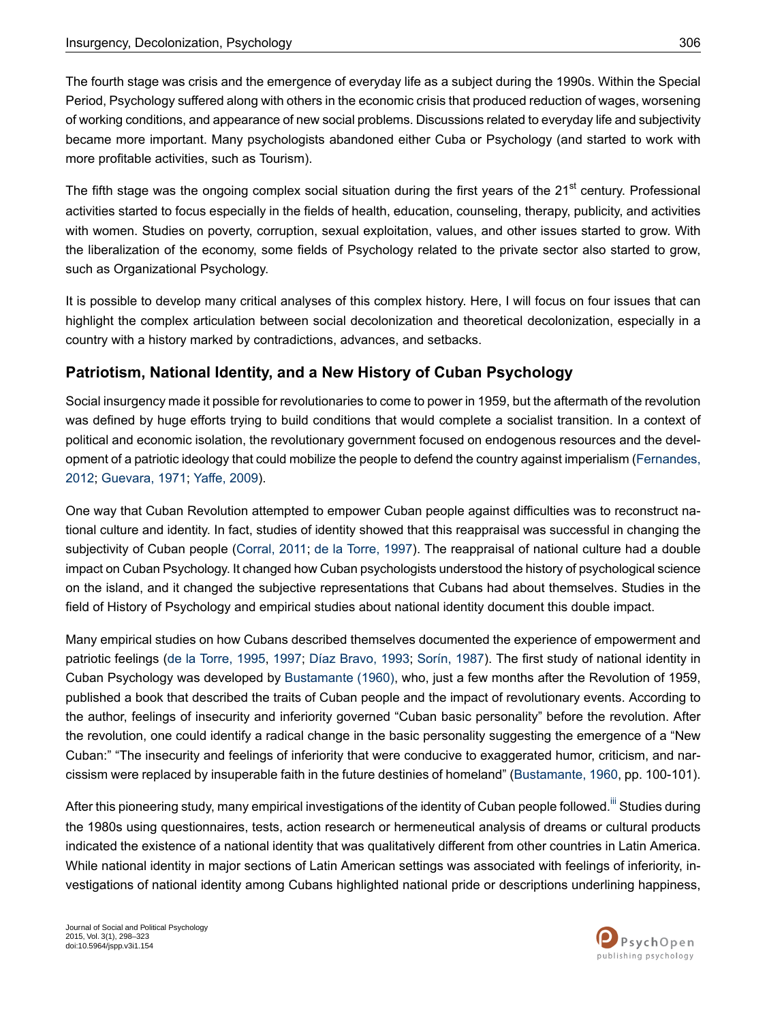The fourth stage was crisis and the emergence of everyday life as a subject during the 1990s. Within the Special Period, Psychology suffered along with others in the economic crisis that produced reduction of wages, worsening of working conditions, and appearance of new social problems. Discussions related to everyday life and subjectivity became more important. Many psychologists abandoned either Cuba or Psychology (and started to work with more profitable activities, such as Tourism).

The fifth stage was the ongoing complex social situation during the first years of the 21<sup>st</sup> century. Professional activities started to focus especially in the fields of health, education, counseling, therapy, publicity, and activities with women. Studies on poverty, corruption, sexual exploitation, values, and other issues started to grow. With the liberalization of the economy, some fields of Psychology related to the private sector also started to grow, such as Organizational Psychology.

It is possible to develop many critical analyses of this complex history. Here, I will focus on four issues that can highlight the complex articulation between social decolonization and theoretical decolonization, especially in a country with a history marked by contradictions, advances, and setbacks.

## **Patriotism, National Identity, and a New History of Cuban Psychology**

Social insurgency made it possible for revolutionaries to come to power in 1959, but the aftermath of the revolution was defined by huge efforts trying to build conditions that would complete a socialist transition. In a context of political and economic isolation, the revolutionary government focused on endogenous resources and the development of a patriotic ideology that could mobilize the people to defend the country against imperialism [\(Fernandes,](#page-21-5) [2012](#page-21-5); [Guevara,](#page-23-8) 1971; [Yaffe,](#page-25-0) 2009).

One way that Cuban Revolution attempted to empower Cuban people against difficulties was to reconstruct national culture and identity. In fact, studies of identity showed that this reappraisal was successful in changing the subjectivity of Cuban people ([Corral,](#page-21-9) 2011; de la [Torre,](#page-21-10) 1997). The reappraisal of national culture had a double impact on Cuban Psychology. It changed how Cuban psychologists understood the history of psychological science on the island, and it changed the subjective representations that Cubans had about themselves. Studies in the field of History of Psychology and empirical studies about national identity document this double impact.

Many empirical studies on how Cubans described themselves documented the experience of empowerment and patriotic feelings (de la [Torre,](#page-21-2) 1995, [1997](#page-21-10); Díaz [Bravo,](#page-21-11) 1993; [Sorín,](#page-24-8) 1987). The first study of national identity in Cuban Psychology was developed by [Bustamante](#page-20-4) (1960), who, just a few months after the Revolution of 1959, published a book that described the traits of Cuban people and the impact of revolutionary events. According to the author, feelings of insecurity and inferiority governed "Cuban basic personality" before the revolution. After the revolution, one could identify a radical change in the basic personality suggesting the emergence of a "New Cuban:" "The insecurity and feelings of inferiority that were conducive to exaggerated humor, criticism, and narcissism were replaced by insuperable faith in the future destinies of homeland" [\(Bustamante,](#page-20-4) 1960, pp. 100-101).

After this pioneering study, many empirical investigations of the identity of Cuban people followed.<sup>[iii](#page-20-5)</sup> Studies during the 1980s using questionnaires, tests, action research or hermeneutical analysis of dreams or cultural products indicated the existence of a national identity that was qualitatively different from other countries in Latin America. While national identity in major sections of Latin American settings was associated with feelings of inferiority, investigations of national identity among Cubans highlighted national pride or descriptions underlining happiness,

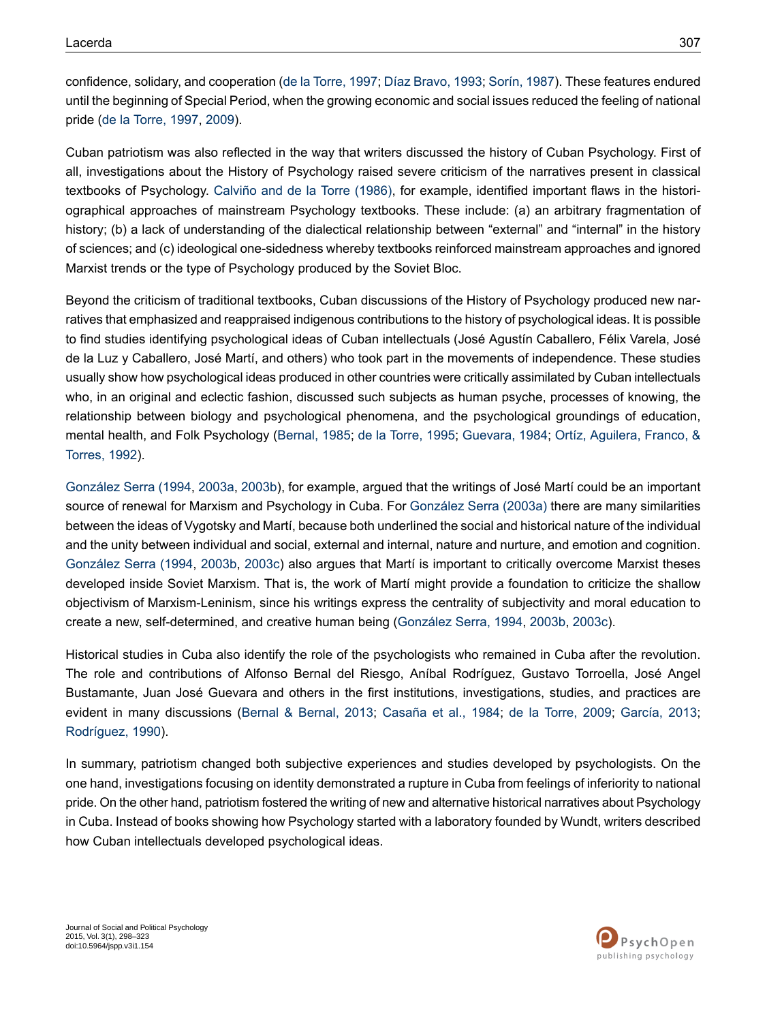confidence, solidary, and cooperation (de la [Torre,](#page-21-10) 1997; Díaz [Bravo,](#page-21-11) 1993; [Sorín,](#page-24-8) 1987). These features endured until the beginning of Special Period, when the growing economic and social issues reduced the feeling of national pride (de la [Torre,](#page-21-10) 1997, [2009](#page-21-7)).

Cuban patriotism was also reflected in the way that writers discussed the history of Cuban Psychology. First of all, investigations about the History of Psychology raised severe criticism of the narratives present in classical textbooks of Psychology. [Calviño](#page-21-12) and de la Torre (1986), for example, identified important flaws in the historiographical approaches of mainstream Psychology textbooks. These include: (a) an arbitrary fragmentation of history; (b) a lack of understanding of the dialectical relationship between "external" and "internal" in the history of sciences; and (c) ideological one-sidedness whereby textbooks reinforced mainstream approaches and ignored Marxist trends or the type of Psychology produced by the Soviet Bloc.

Beyond the criticism of traditional textbooks, Cuban discussions of the History of Psychology produced new narratives that emphasized and reappraised indigenous contributions to the history of psychological ideas. It is possible to find studies identifying psychological ideas of Cuban intellectuals (José Agustín Caballero, Félix Varela, José de la Luz y Caballero, José Martí, and others) who took part in the movements of independence. These studies usually show how psychological ideas produced in other countries were critically assimilated by Cuban intellectuals who, in an original and eclectic fashion, discussed such subjects as human psyche, processes of knowing, the relationship between biology and psychological phenomena, and the psychological groundings of education, mental health, and Folk Psychology ([Bernal,](#page-20-2) 1985; de la [Torre,](#page-21-2) 1995; [Guevara,](#page-23-9) 1984; Ortíz, [Aguilera,](#page-24-4) Franco, & [Torres,](#page-24-4) 1992).

[González](#page-23-10) Serra (1994, [2003a,](#page-23-11) [2003b](#page-23-12)), for example, argued that the writings of José Martí could be an important source of renewal for Marxism and Psychology in Cuba. For [González](#page-23-11) Serra (2003a) there are many similarities between the ideas of Vygotsky and Martí, because both underlined the social and historical nature of the individual and the unity between individual and social, external and internal, nature and nurture, and emotion and cognition. [González](#page-23-10) Serra (1994, [2003b,](#page-23-12) [2003c](#page-23-13)) also argues that Martí is important to critically overcome Marxist theses developed inside Soviet Marxism. That is, the work of Martí might provide a foundation to criticize the shallow objectivism of Marxism-Leninism, since his writings express the centrality of subjectivity and moral education to create a new, self-determined, and creative human being ([González](#page-23-10) Serra, 1994, [2003b](#page-23-12), [2003c](#page-23-13)).

Historical studies in Cuba also identify the role of the psychologists who remained in Cuba after the revolution. The role and contributions of Alfonso Bernal del Riesgo, Aníbal Rodríguez, Gustavo Torroella, José Angel Bustamante, Juan José Guevara and others in the first institutions, investigations, studies, and practices are evident in many discussions (Bernal & [Bernal,](#page-20-6) 2013; [Casaña](#page-21-8) et al., 1984; de la [Torre,](#page-21-7) 2009; [García,](#page-22-3) 2013; [Rodríguez,](#page-24-5) 1990).

In summary, patriotism changed both subjective experiences and studies developed by psychologists. On the one hand, investigations focusing on identity demonstrated a rupture in Cuba from feelings of inferiority to national pride. On the other hand, patriotism fostered the writing of new and alternative historical narratives about Psychology in Cuba. Instead of books showing how Psychology started with a laboratory founded by Wundt, writers described how Cuban intellectuals developed psychological ideas.

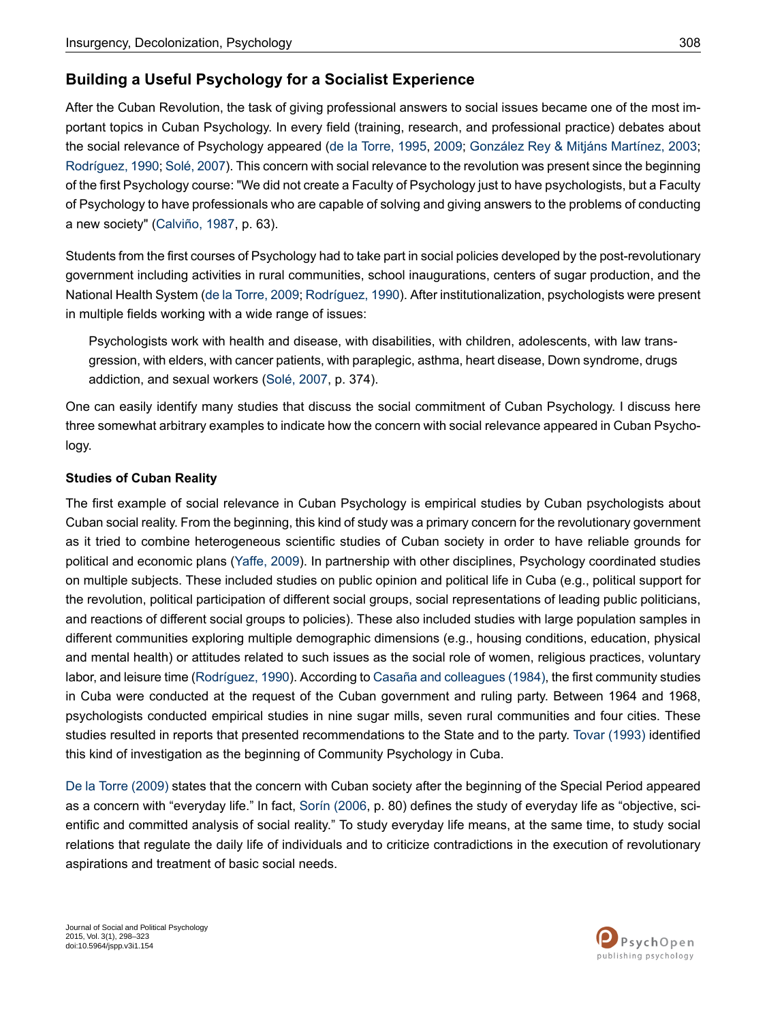## **Building a Useful Psychology for a Socialist Experience**

After the Cuban Revolution, the task of giving professional answers to social issues became one of the most important topics in Cuban Psychology. In every field (training, research, and professional practice) debates about the social relevance of Psychology appeared (de la [Torre,](#page-21-2) 1995, [2009](#page-21-7); [González](#page-22-2) Rey & Mitjáns Martínez, 2003; [Rodríguez,](#page-24-5) 1990; [Solé,](#page-24-7) 2007). This concern with social relevance to the revolution was present since the beginning of the first Psychology course: "We did not create a Faculty of Psychology just to have psychologists, but a Faculty of Psychology to have professionals who are capable of solving and giving answers to the problems of conducting a new society" [\(Calviño,](#page-20-3) 1987, p. 63).

Students from the first courses of Psychology had to take part in social policies developed by the post-revolutionary government including activities in rural communities, school inaugurations, centers of sugar production, and the National Health System (de la [Torre,](#page-21-7) 2009; [Rodríguez,](#page-24-5) 1990). After institutionalization, psychologists were present in multiple fields working with a wide range of issues:

Psychologists work with health and disease, with disabilities, with children, adolescents, with law transgression, with elders, with cancer patients, with paraplegic, asthma, heart disease, Down syndrome, drugs addiction, and sexual workers (Solé, [2007,](#page-24-7) p. 374).

One can easily identify many studies that discuss the social commitment of Cuban Psychology. I discuss here three somewhat arbitrary examples to indicate how the concern with social relevance appeared in Cuban Psychology.

### **Studies of Cuban Reality**

The first example of social relevance in Cuban Psychology is empirical studies by Cuban psychologists about Cuban social reality. From the beginning, this kind of study was a primary concern for the revolutionary government as it tried to combine heterogeneous scientific studies of Cuban society in order to have reliable grounds for political and economic plans [\(Yaffe,](#page-25-0) 2009). In partnership with other disciplines, Psychology coordinated studies on multiple subjects. These included studies on public opinion and political life in Cuba (e.g., political support for the revolution, political participation of different social groups, social representations of leading public politicians, and reactions of different social groups to policies). These also included studies with large population samples in different communities exploring multiple demographic dimensions (e.g., housing conditions, education, physical and mental health) or attitudes related to such issues as the social role of women, religious practices, voluntary labor, and leisure time ([Rodríguez,](#page-24-5) 1990). According to Casaña and [colleagues](#page-21-8) (1984), the first community studies in Cuba were conducted at the request of the Cuban government and ruling party. Between 1964 and 1968, psychologists conducted empirical studies in nine sugar mills, seven rural communities and four cities. These studies resulted in reports that presented recommendations to the State and to the party. Tovar [\(1993\)](#page-24-9) identified this kind of investigation as the beginning of Community Psychology in Cuba.

De la Torre [\(2009\)](#page-21-7) states that the concern with Cuban society after the beginning of the Special Period appeared as a concern with "everyday life." In fact, Sorín [\(2006,](#page-24-10) p. 80) defines the study of everyday life as "objective, scientific and committed analysis of social reality." To study everyday life means, at the same time, to study social relations that regulate the daily life of individuals and to criticize contradictions in the execution of revolutionary aspirations and treatment of basic social needs.

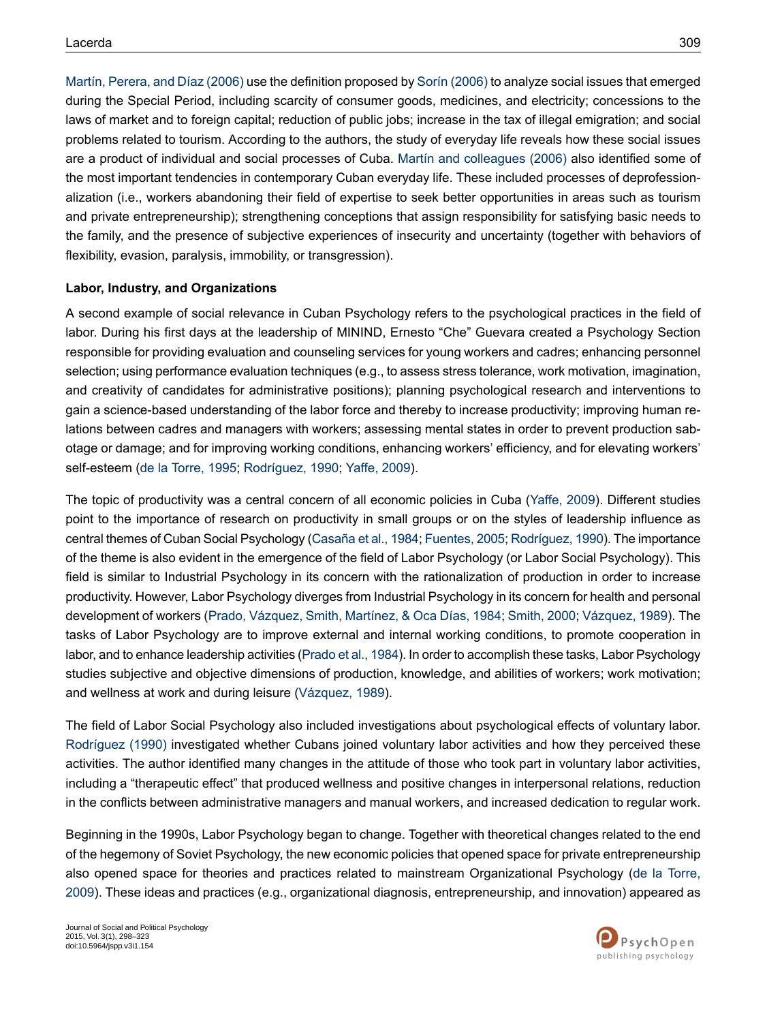Martín, Perera, and Díaz (2006) use the definition proposed by Sorín (2006) to analyze social issues that emerged during the Special Period, including scarcity of consumer goods, medicines, and electricity; concessions to the laws of market and to foreign capital; reduction of public jobs; increase in the tax of illegal emigration; and social problems related to tourism. According to the authors, the study of everyday life reveals how these social issues are a product of individual and social processes of Cuba. Martín and [colleagues](#page-23-14) (2006) also identified some of the most important tendencies in contemporary Cuban everyday life. These included processes of deprofessionalization (i.e., workers abandoning their field of expertise to seek better opportunities in areas such as tourism and private entrepreneurship); strengthening conceptions that assign responsibility for satisfying basic needs to the family, and the presence of subjective experiences of insecurity and uncertainty (together with behaviors of flexibility, evasion, paralysis, immobility, or transgression).

#### **Labor, Industry, and Organizations**

A second example of social relevance in Cuban Psychology refers to the psychological practices in the field of labor. During his first days at the leadership of MININD, Ernesto "Che" Guevara created a Psychology Section responsible for providing evaluation and counseling services for young workers and cadres; enhancing personnel selection; using performance evaluation techniques (e.g., to assess stress tolerance, work motivation, imagination, and creativity of candidates for administrative positions); planning psychological research and interventions to gain a science-based understanding of the labor force and thereby to increase productivity; improving human relations between cadres and managers with workers; assessing mental states in order to prevent production sabotage or damage; and for improving working conditions, enhancing workers' efficiency, and for elevating workers' self-esteem (de la [Torre,](#page-21-2) 1995; [Rodríguez,](#page-24-5) 1990; [Yaffe,](#page-25-0) 2009).

The topic of productivity was a central concern of all economic policies in Cuba ([Yaffe,](#page-25-0) 2009). Different studies point to the importance of research on productivity in small groups or on the styles of leadership influence as central themes of Cuban Social Psychology (Casaña et al., 1984; Fuentes, 2005; Rodríguez, 1990). The importance of the theme is also evident in the emergence of the field of Labor Psychology (or Labor Social Psychology). This field is similar to Industrial Psychology in its concern with the rationalization of production in order to increase productivity. However, Labor Psychology diverges from Industrial Psychology in its concern for health and personal development of workers (Prado, [Vázquez,](#page-24-11) Smith, Martínez, & Oca Días, 1984; [Smith,](#page-24-12) 2000; [Vázquez,](#page-24-13) 1989). The tasks of Labor Psychology are to improve external and internal working conditions, to promote cooperation in labor, and to enhance leadership activities (Prado et al., 1984). In order to accomplish these tasks, Labor Psychology studies subjective and objective dimensions of production, knowledge, and abilities of workers; work motivation; and wellness at work and during leisure [\(Vázquez,](#page-24-13) 1989).

The field of Labor Social Psychology also included investigations about psychological effects of voluntary labor. [Rodríguez](#page-24-5) (1990) investigated whether Cubans joined voluntary labor activities and how they perceived these activities. The author identified many changes in the attitude of those who took part in voluntary labor activities, including a "therapeutic effect" that produced wellness and positive changes in interpersonal relations, reduction in the conflicts between administrative managers and manual workers, and increased dedication to regular work.

Beginning in the 1990s, Labor Psychology began to change. Together with theoretical changes related to the end of the hegemony of Soviet Psychology, the new economic policies that opened space for private entrepreneurship also opened space for theories and practices related to mainstream Organizational Psychology (de la [Torre,](#page-21-7) [2009](#page-21-7)). These ideas and practices (e.g., organizational diagnosis, entrepreneurship, and innovation) appeared as

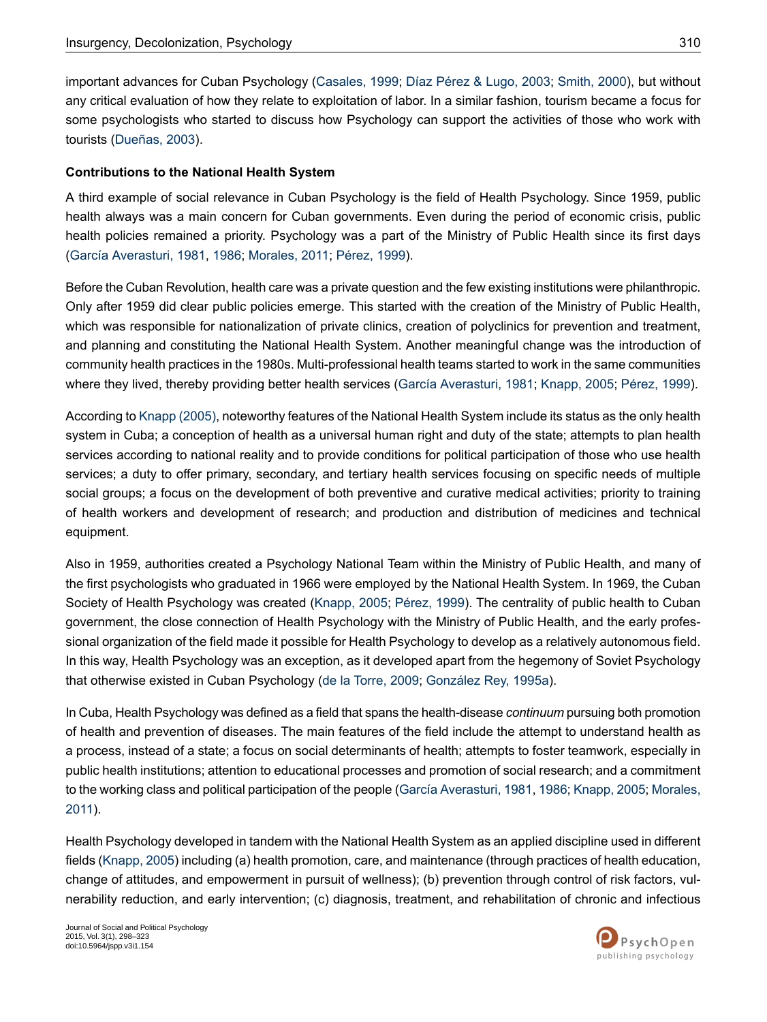important advances for Cuban Psychology ([Casales,](#page-21-13) 1999; Díaz [Pérez](#page-21-14) & Lugo, 2003; [Smith,](#page-24-12) 2000), but without any critical evaluation of how they relate to exploitation of labor. In a similar fashion, tourism became a focus for some psychologists who started to discuss how Psychology can support the activities of those who work with tourists [\(Dueñas,](#page-21-15) 2003).

#### **Contributions to the National Health System**

A third example of social relevance in Cuban Psychology is the field of Health Psychology. Since 1959, public health always was a main concern for Cuban governments. Even during the period of economic crisis, public health policies remained a priority. Psychology was a part of the Ministry of Public Health since its first days (García [Averasturi,](#page-22-5) 1981, [1986](#page-22-6); [Morales,](#page-23-15) 2011; [Pérez,](#page-24-14) 1999).

Before the Cuban Revolution, health care was a private question and the few existing institutions were philanthropic. Only after 1959 did clear public policies emerge. This started with the creation of the Ministry of Public Health, which was responsible for nationalization of private clinics, creation of polyclinics for prevention and treatment, and planning and constituting the National Health System. Another meaningful change was the introduction of community health practices in the 1980s. Multi-professional health teams started to work in the same communities where they lived, thereby providing better health services (García [Averasturi,](#page-22-5) 1981; [Knapp,](#page-23-5) 2005; [Pérez,](#page-24-14) 1999).

According to Knapp (2005), noteworthy features of the National Health System include its status as the only health system in Cuba; a conception of health as a universal human right and duty of the state; attempts to plan health services according to national reality and to provide conditions for political participation of those who use health services; a duty to offer primary, secondary, and tertiary health services focusing on specific needs of multiple social groups; a focus on the development of both preventive and curative medical activities; priority to training of health workers and development of research; and production and distribution of medicines and technical equipment.

Also in 1959, authorities created a Psychology National Team within the Ministry of Public Health, and many of the first psychologists who graduated in 1966 were employed by the National Health System. In 1969, the Cuban Society of Health Psychology was created [\(Knapp,](#page-23-5) 2005; [Pérez,](#page-24-14) 1999). The centrality of public health to Cuban government, the close connection of Health Psychology with the Ministry of Public Health, and the early professional organization of the field made it possible for Health Psychology to develop as a relatively autonomous field. In this way, Health Psychology was an exception, as it developed apart from the hegemony of Soviet Psychology that otherwise existed in Cuban Psychology (de la [Torre,](#page-21-7) 2009; [González](#page-22-1) Rey, 1995a).

In Cuba, Health Psychology was defined as a field that spans the health-disease *continuum* pursuing both promotion of health and prevention of diseases. The main features of the field include the attempt to understand health as a process, instead of a state; a focus on social determinants of health; attempts to foster teamwork, especially in public health institutions; attention to educational processes and promotion of social research; and a commitment to the working class and political participation of the people (García [Averasturi,](#page-22-5) 1981, [1986;](#page-22-6) [Knapp,](#page-23-5) 2005; [Morales,](#page-23-15) [2011\)](#page-23-15).

Health Psychology developed in tandem with the National Health System as an applied discipline used in different fields ([Knapp,](#page-23-5) 2005) including (a) health promotion, care, and maintenance (through practices of health education, change of attitudes, and empowerment in pursuit of wellness); (b) prevention through control of risk factors, vulnerability reduction, and early intervention; (c) diagnosis, treatment, and rehabilitation of chronic and infectious

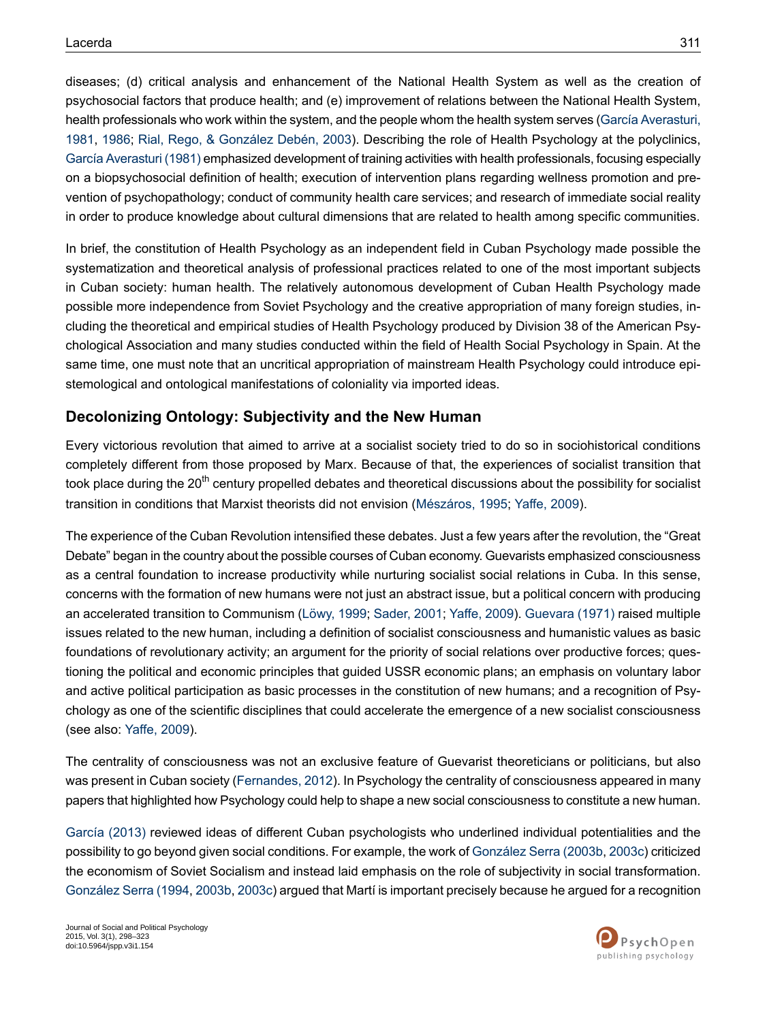diseases; (d) critical analysis and enhancement of the National Health System as well as the creation of psychosocial factors that produce health; and (e) improvement of relations between the National Health System, health professionals who work within the system, and the people whom the health system serves (García [Averasturi,](#page-22-5) [1981](#page-22-5), [1986](#page-22-6); Rial, Rego, & [González](#page-24-15) Debén, 2003). Describing the role of Health Psychology at the polyclinics, García [Averasturi](#page-22-5) (1981) emphasized development of training activities with health professionals, focusing especially on a biopsychosocial definition of health; execution of intervention plans regarding wellness promotion and prevention of psychopathology; conduct of community health care services; and research of immediate social reality in order to produce knowledge about cultural dimensions that are related to health among specific communities.

In brief, the constitution of Health Psychology as an independent field in Cuban Psychology made possible the systematization and theoretical analysis of professional practices related to one of the most important subjects in Cuban society: human health. The relatively autonomous development of Cuban Health Psychology made possible more independence from Soviet Psychology and the creative appropriation of many foreign studies, including the theoretical and empirical studies of Health Psychology produced by Division 38 of the American Psychological Association and many studies conducted within the field of Health Social Psychology in Spain. At the same time, one must note that an uncritical appropriation of mainstream Health Psychology could introduce epistemological and ontological manifestations of coloniality via imported ideas.

### **Decolonizing Ontology: Subjectivity and the New Human**

Every victorious revolution that aimed to arrive at a socialist society tried to do so in sociohistorical conditions completely different from those proposed by Marx. Because of that, the experiences of socialist transition that took place during the 20<sup>th</sup> century propelled debates and theoretical discussions about the possibility for socialist transition in conditions that Marxist theorists did not envision [\(Mészáros,](#page-23-16) 1995; [Yaffe,](#page-25-0) 2009).

The experience of the Cuban Revolution intensified these debates. Just a few years after the revolution, the "Great Debate" began in the country about the possible courses of Cuban economy. Guevarists emphasized consciousness as a central foundation to increase productivity while nurturing socialist social relations in Cuba. In this sense, concerns with the formation of new humans were not just an abstract issue, but a political concern with producing an accelerated transition to Communism ([Löwy,](#page-23-17) 1999; [Sader,](#page-24-2) 2001; [Yaffe,](#page-25-0) 2009). [Guevara](#page-23-8) (1971) raised multiple issues related to the new human, including a definition of socialist consciousness and humanistic values as basic foundations of revolutionary activity; an argument for the priority of social relations over productive forces; questioning the political and economic principles that guided USSR economic plans; an emphasis on voluntary labor and active political participation as basic processes in the constitution of new humans; and a recognition of Psychology as one of the scientific disciplines that could accelerate the emergence of a new socialist consciousness (see also: [Yaffe,](#page-25-0) 2009).

The centrality of consciousness was not an exclusive feature of Guevarist theoreticians or politicians, but also was present in Cuban society [\(Fernandes,](#page-21-5) 2012). In Psychology the centrality of consciousness appeared in many papers that highlighted how Psychology could help to shape a new social consciousness to constitute a new human.

[García](#page-22-3) (2013) reviewed ideas of different Cuban psychologists who underlined individual potentialities and the possibility to go beyond given social conditions. For example, the work of [González](#page-23-12) Serra (2003b, [2003c](#page-23-13)) criticized the economism of Soviet Socialism and instead laid emphasis on the role of subjectivity in social transformation. [González](#page-23-10) Serra (1994, [2003b,](#page-23-12) [2003c\)](#page-23-13) argued that Martí is important precisely because he argued for a recognition

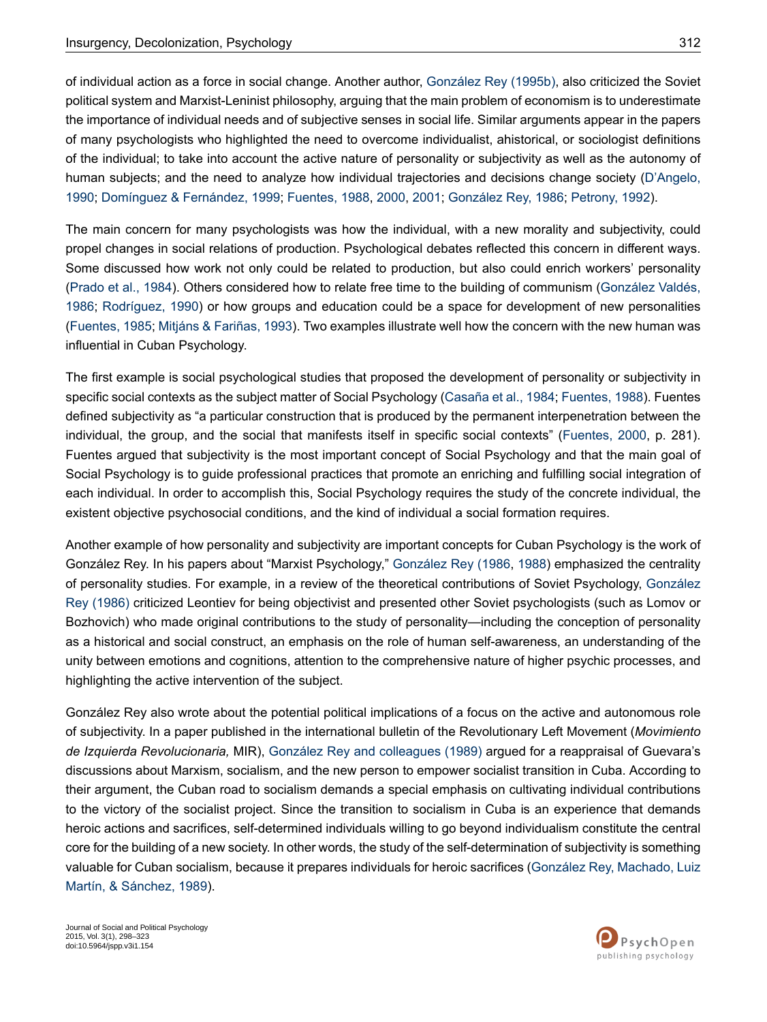of individual action as a force in social change. Another author, [González](#page-22-7) Rey (1995b), also criticized the Soviet political system and Marxist-Leninist philosophy, arguing that the main problem of economism is to underestimate the importance of individual needs and of subjective senses in social life. Similar arguments appear in the papers of many psychologists who highlighted the need to overcome individualist, ahistorical, or sociologist definitions of the individual; to take into account the active nature of personality or subjectivity as well as the autonomy of human subjects; and the need to analyze how individual trajectories and decisions change society ([D'Angelo,](#page-21-16) [1990](#page-21-16); [Domínguez](#page-21-17) & Fernández, 1999; [Fuentes,](#page-22-8) 1988, [2000,](#page-22-9) [2001;](#page-22-10) [González](#page-22-11) Rey, 1986; [Petrony,](#page-24-16) 1992).

The main concern for many psychologists was how the individual, with a new morality and subjectivity, could propel changes in social relations of production. Psychological debates reflected this concern in different ways. Some discussed how work not only could be related to production, but also could enrich workers' personality [\(Prado](#page-24-11) et al., 1984). Others considered how to relate free time to the building of communism ([González](#page-23-18) Valdés, [1986](#page-23-18); [Rodríguez,](#page-24-5) 1990) or how groups and education could be a space for development of new personalities [\(Fuentes,](#page-22-12) 1985; Mitjáns & [Fariñas,](#page-23-19) 1993). Two examples illustrate well how the concern with the new human was influential in Cuban Psychology.

The first example is social psychological studies that proposed the development of personality or subjectivity in specific social contexts as the subject matter of Social Psychology [\(Casaña](#page-21-8) et al., 1984; [Fuentes,](#page-22-8) 1988). Fuentes defined subjectivity as "a particular construction that is produced by the permanent interpenetration between the individual, the group, and the social that manifests itself in specific social contexts" [\(Fuentes,](#page-22-9) 2000, p. 281). Fuentes argued that subjectivity is the most important concept of Social Psychology and that the main goal of Social Psychology is to guide professional practices that promote an enriching and fulfilling social integration of each individual. In order to accomplish this, Social Psychology requires the study of the concrete individual, the existent objective psychosocial conditions, and the kind of individual a social formation requires.

Another example of how personality and subjectivity are important concepts for Cuban Psychology is the work of González Rey. In his papers about "Marxist Psychology," [González](#page-22-11) Rey (1986, [1988](#page-22-13)) emphasized the centrality of personality studies. For example, in a review of the theoretical contributions of Soviet Psychology, [González](#page-22-11) Rey [\(1986\)](#page-22-11) criticized Leontiev for being objectivist and presented other Soviet psychologists (such as Lomov or Bozhovich) who made original contributions to the study of personality—including the conception of personality as a historical and social construct, an emphasis on the role of human self-awareness, an understanding of the unity between emotions and cognitions, attention to the comprehensive nature of higher psychic processes, and highlighting the active intervention of the subject.

González Rey also wrote about the potential political implications of a focus on the active and autonomous role of subjectivity. In a paper published in the international bulletin of the Revolutionary Left Movement (*Movimiento de Izquierda Revolucionaria,* MIR), González Rey and [colleagues](#page-22-14) (1989) argued for a reappraisal of Guevara's discussions about Marxism, socialism, and the new person to empower socialist transition in Cuba. According to their argument, the Cuban road to socialism demands a special emphasis on cultivating individual contributions to the victory of the socialist project. Since the transition to socialism in Cuba is an experience that demands heroic actions and sacrifices, self-determined individuals willing to go beyond individualism constitute the central core for the building of a new society. In other words, the study of the self-determination of subjectivity is something valuable for Cuban socialism, because it prepares individuals for heroic sacrifices (González Rey, [Machado,](#page-22-14) Luiz Martín, & [Sánchez,](#page-22-14) 1989).

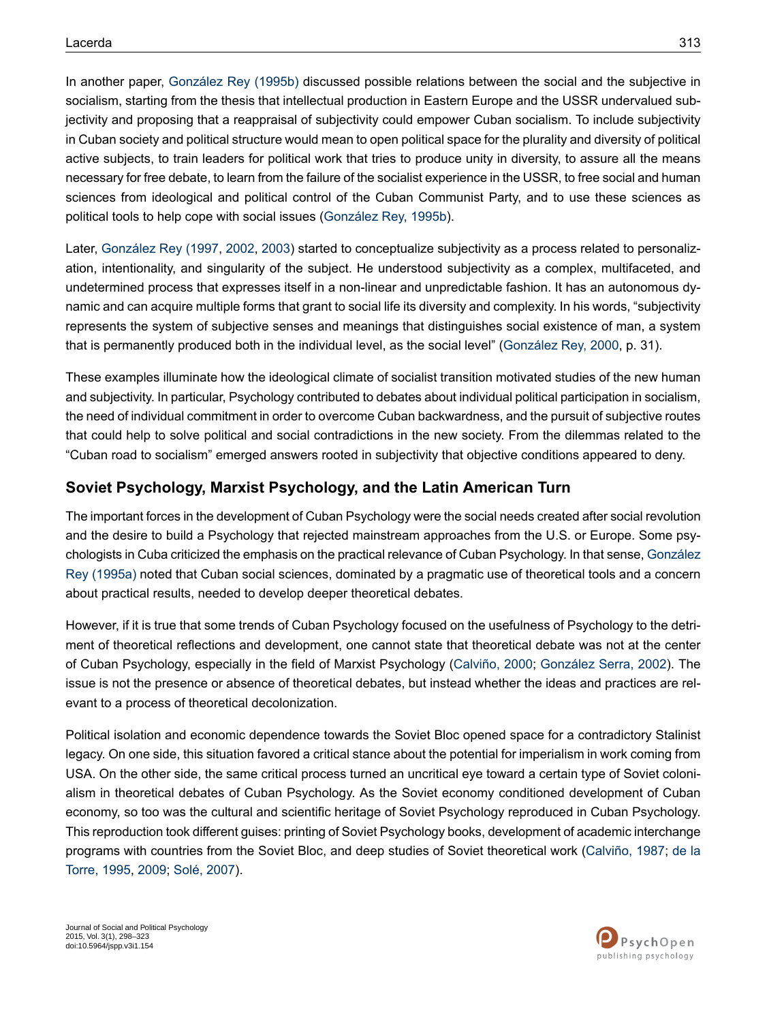In another paper, [González](#page-22-7) Rey (1995b) discussed possible relations between the social and the subjective in socialism, starting from the thesis that intellectual production in Eastern Europe and the USSR undervalued subjectivity and proposing that a reappraisal of subjectivity could empower Cuban socialism. To include subjectivity in Cuban society and political structure would mean to open political space for the plurality and diversity of political active subjects, to train leaders for political work that tries to produce unity in diversity, to assure all the means necessary for free debate, to learn from the failure of the socialist experience in the USSR, to free social and human sciences from ideological and political control of the Cuban Communist Party, and to use these sciences as political tools to help cope with social issues ([González](#page-22-7) Rey, 1995b).

Later, [González](#page-22-15) Rey (1997, [2002,](#page-22-16) [2003](#page-22-17)) started to conceptualize subjectivity as a process related to personalization, intentionality, and singularity of the subject. He understood subjectivity as a complex, multifaceted, and undetermined process that expresses itself in a non-linear and unpredictable fashion. It has an autonomous dynamic and can acquire multiple forms that grant to social life its diversity and complexity. In his words, "subjectivity represents the system of subjective senses and meanings that distinguishes social existence of man, a system that is permanently produced both in the individual level, as the social level" ([González](#page-22-18) Rey, 2000, p. 31).

These examples illuminate how the ideological climate of socialist transition motivated studies of the new human and subjectivity. In particular, Psychology contributed to debates about individual political participation in socialism, the need of individual commitment in order to overcome Cuban backwardness, and the pursuit of subjective routes that could help to solve political and social contradictions in the new society. From the dilemmas related to the "Cuban road to socialism" emerged answers rooted in subjectivity that objective conditions appeared to deny.

### **Soviet Psychology, Marxist Psychology, and the Latin American Turn**

The important forces in the development of Cuban Psychology were the social needs created after social revolution and the desire to build a Psychology that rejected mainstream approaches from the U.S. or Europe. Some psychologists in Cuba criticized the emphasis on the practical relevance of Cuban Psychology. In that sense, [González](#page-22-1) Rey [\(1995a\)](#page-22-1) noted that Cuban social sciences, dominated by a pragmatic use of theoretical tools and a concern about practical results, needed to develop deeper theoretical debates.

However, if it is true that some trends of Cuban Psychology focused on the usefulness of Psychology to the detriment of theoretical reflections and development, one cannot state that theoretical debate was not at the center of Cuban Psychology, especially in the field of Marxist Psychology [\(Calviño,](#page-20-7) 2000; [González](#page-23-20) Serra, 2002). The issue is not the presence or absence of theoretical debates, but instead whether the ideas and practices are relevant to a process of theoretical decolonization.

Political isolation and economic dependence towards the Soviet Bloc opened space for a contradictory Stalinist legacy. On one side, this situation favored a critical stance about the potential for imperialism in work coming from USA. On the other side, the same critical process turned an uncritical eye toward a certain type of Soviet colonialism in theoretical debates of Cuban Psychology. As the Soviet economy conditioned development of Cuban economy, so too was the cultural and scientific heritage of Soviet Psychology reproduced in Cuban Psychology. This reproduction took different guises: printing of Soviet Psychology books, development of academic interchange programs with countries from the Soviet Bloc, and deep studies of Soviet theoretical work [\(Calviño,](#page-20-3) 1987; [de](#page-21-2) la [Torre,](#page-21-2) 1995, [2009](#page-21-7); [Solé,](#page-24-7) 2007).

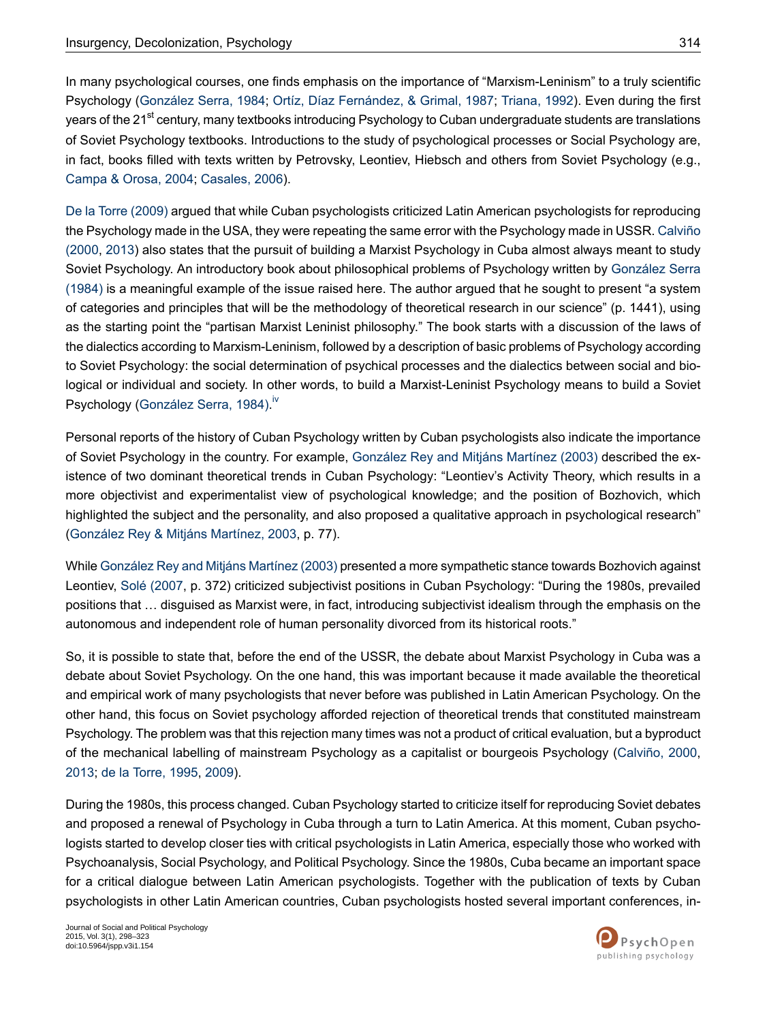In many psychological courses, one finds emphasis on the importance of "Marxism-Leninism" to a truly scientific Psychology [\(González](#page-22-19) Serra, 1984; Ortíz, Díaz [Fernández,](#page-24-17) & Grimal, 1987; [Triana,](#page-24-18) 1992). Even during the first years of the 21<sup>st</sup> century, many textbooks introducing Psychology to Cuban undergraduate students are translations of Soviet Psychology textbooks. Introductions to the study of psychological processes or Social Psychology are, in fact, books filled with texts written by Petrovsky, Leontiev, Hiebsch and others from Soviet Psychology (e.g., [Campa](#page-21-18) & Orosa, 2004; [Casales,](#page-21-19) 2006).

De la Torre [\(2009\)](#page-21-7) argued that while Cuban psychologists criticized Latin American psychologists for reproducing the Psychology made in the USA, they were repeating the same error with the Psychology made in USSR. [Calviño](#page-20-7) [\(2000,](#page-20-7) [2013](#page-21-20)) also states that the pursuit of building a Marxist Psychology in Cuba almost always meant to study Soviet Psychology. An introductory book about philosophical problems of Psychology written by [González](#page-22-19) Serra [\(1984\)](#page-22-19) is a meaningful example of the issue raised here. The author argued that he sought to present "a system of categories and principles that will be the methodology of theoretical research in our science" (p. 1441), using as the starting point the "partisan Marxist Leninist philosophy." The book starts with a discussion of the laws of the dialectics according to Marxism-Leninism, followed by a description of basic problems of Psychology according to Soviet Psychology: the social determination of psychical processes and the dialectics between social and biological or individual and society. In other words, to build a Marxist-Leninist Psychology means to build a Soviet Psychology [\(González](#page-22-19) Serra, 1984).<sup>[iv](#page-20-8)</sup>

Personal reports of the history of Cuban Psychology written by Cuban psychologists also indicate the importance of Soviet Psychology in the country. For example, [González](#page-22-2) Rey and Mitjáns Martínez (2003) described the existence of two dominant theoretical trends in Cuban Psychology: "Leontiev's Activity Theory, which results in a more objectivist and experimentalist view of psychological knowledge; and the position of Bozhovich, which highlighted the subject and the personality, and also proposed a qualitative approach in psychological research" [\(González](#page-22-2) Rey & Mitjáns Martínez, 2003, p. 77).

While [González](#page-22-2) Rey and Mitjáns Martínez (2003) presented a more sympathetic stance towards Bozhovich against Leontiev, Solé [\(2007](#page-24-7), p. 372) criticized subjectivist positions in Cuban Psychology: "During the 1980s, prevailed positions that … disguised as Marxist were, in fact, introducing subjectivist idealism through the emphasis on the autonomous and independent role of human personality divorced from its historical roots."

So, it is possible to state that, before the end of the USSR, the debate about Marxist Psychology in Cuba was a debate about Soviet Psychology. On the one hand, this was important because it made available the theoretical and empirical work of many psychologists that never before was published in Latin American Psychology. On the other hand, this focus on Soviet psychology afforded rejection of theoretical trends that constituted mainstream Psychology. The problem was that this rejection many times was not a product of critical evaluation, but a byproduct of the mechanical labelling of mainstream Psychology as a capitalist or bourgeois Psychology ([Calviño,](#page-20-7) 2000, [2013](#page-21-20); de la [Torre,](#page-21-2) 1995, [2009\)](#page-21-7).

During the 1980s, this process changed. Cuban Psychology started to criticize itself for reproducing Soviet debates and proposed a renewal of Psychology in Cuba through a turn to Latin America. At this moment, Cuban psychologists started to develop closer ties with critical psychologists in Latin America, especially those who worked with Psychoanalysis, Social Psychology, and Political Psychology. Since the 1980s, Cuba became an important space for a critical dialogue between Latin American psychologists. Together with the publication of texts by Cuban psychologists in other Latin American countries, Cuban psychologists hosted several important conferences, in-

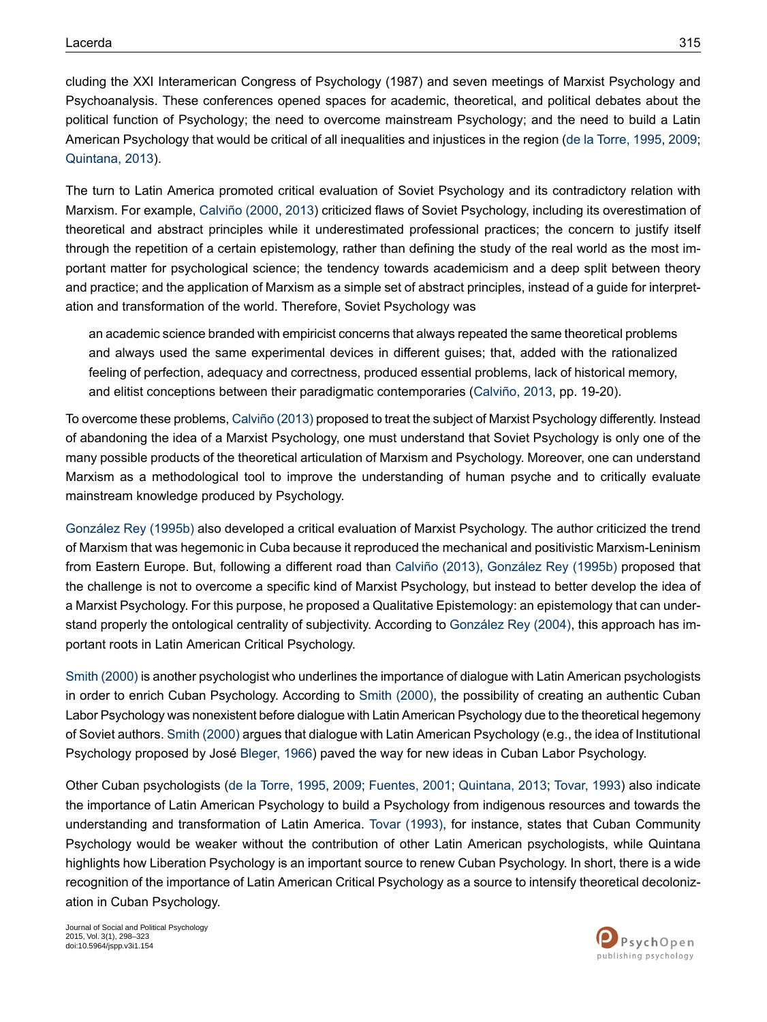cluding the XXI Interamerican Congress of Psychology (1987) and seven meetings of Marxist Psychology and Psychoanalysis. These conferences opened spaces for academic, theoretical, and political debates about the political function of Psychology; the need to overcome mainstream Psychology; and the need to build a Latin American Psychology that would be critical of all inequalities and injustices in the region (de la [Torre,](#page-21-2) 1995, [2009](#page-21-7); [Quintana,](#page-24-19) 2013).

The turn to Latin America promoted critical evaluation of Soviet Psychology and its contradictory relation with Marxism. For example, [Calviño](#page-20-7) (2000, [2013\)](#page-21-20) criticized flaws of Soviet Psychology, including its overestimation of theoretical and abstract principles while it underestimated professional practices; the concern to justify itself through the repetition of a certain epistemology, rather than defining the study of the real world as the most important matter for psychological science; the tendency towards academicism and a deep split between theory and practice; and the application of Marxism as a simple set of abstract principles, instead of a guide for interpretation and transformation of the world. Therefore, Soviet Psychology was

an academic science branded with empiricist concerns that always repeated the same theoretical problems and always used the same experimental devices in different guises; that, added with the rationalized feeling of perfection, adequacy and correctness, produced essential problems, lack of historical memory, and elitist conceptions between their paradigmatic contemporaries ([Calviño,](#page-21-20) 2013, pp. 19-20).

To overcome these problems, Calviño (2013) proposed to treat the subject of Marxist Psychology differently. Instead of abandoning the idea of a Marxist Psychology, one must understand that Soviet Psychology is only one of the many possible products of the theoretical articulation of Marxism and Psychology. Moreover, one can understand Marxism as a methodological tool to improve the understanding of human psyche and to critically evaluate mainstream knowledge produced by Psychology.

[González](#page-22-7) Rey (1995b) also developed a critical evaluation of Marxist Psychology. The author criticized the trend of Marxism that was hegemonic in Cuba because it reproduced the mechanical and positivistic Marxism-Leninism from Eastern Europe. But, following a different road than [Calviño](#page-21-20) (2013), [González](#page-22-7) Rey (1995b) proposed that the challenge is not to overcome a specific kind of Marxist Psychology, but instead to better develop the idea of a Marxist Psychology. For this purpose, he proposed a Qualitative Epistemology: an epistemology that can understand properly the ontological centrality of subjectivity. According to [González](#page-22-20) Rey (2004), this approach has important roots in Latin American Critical Psychology.

Smith [\(2000\)](#page-24-12) is another psychologist who underlines the importance of dialogue with Latin American psychologists in order to enrich Cuban Psychology. According to Smith [\(2000\),](#page-24-12) the possibility of creating an authentic Cuban Labor Psychology was nonexistent before dialogue with Latin American Psychology due to the theoretical hegemony of Soviet authors. Smith [\(2000\)](#page-24-12) argues that dialogue with Latin American Psychology (e.g., the idea of Institutional Psychology proposed by José [Bleger,](#page-20-9) 1966) paved the way for new ideas in Cuban Labor Psychology.

Other Cuban psychologists (de la [Torre,](#page-21-2) 1995, [2009;](#page-21-7) [Fuentes,](#page-22-10) 2001; [Quintana,](#page-24-19) 2013; [Tovar,](#page-24-9) 1993) also indicate the importance of Latin American Psychology to build a Psychology from indigenous resources and towards the understanding and transformation of Latin America. Tovar [\(1993\),](#page-24-9) for instance, states that Cuban Community Psychology would be weaker without the contribution of other Latin American psychologists, while Quintana highlights how Liberation Psychology is an important source to renew Cuban Psychology. In short, there is a wide recognition of the importance of Latin American Critical Psychology as a source to intensify theoretical decolonization in Cuban Psychology.

Journal of Social and Political Psychology 2015, Vol. 3(1), 298–323 doi:10.5964/jspp.v3i1.154

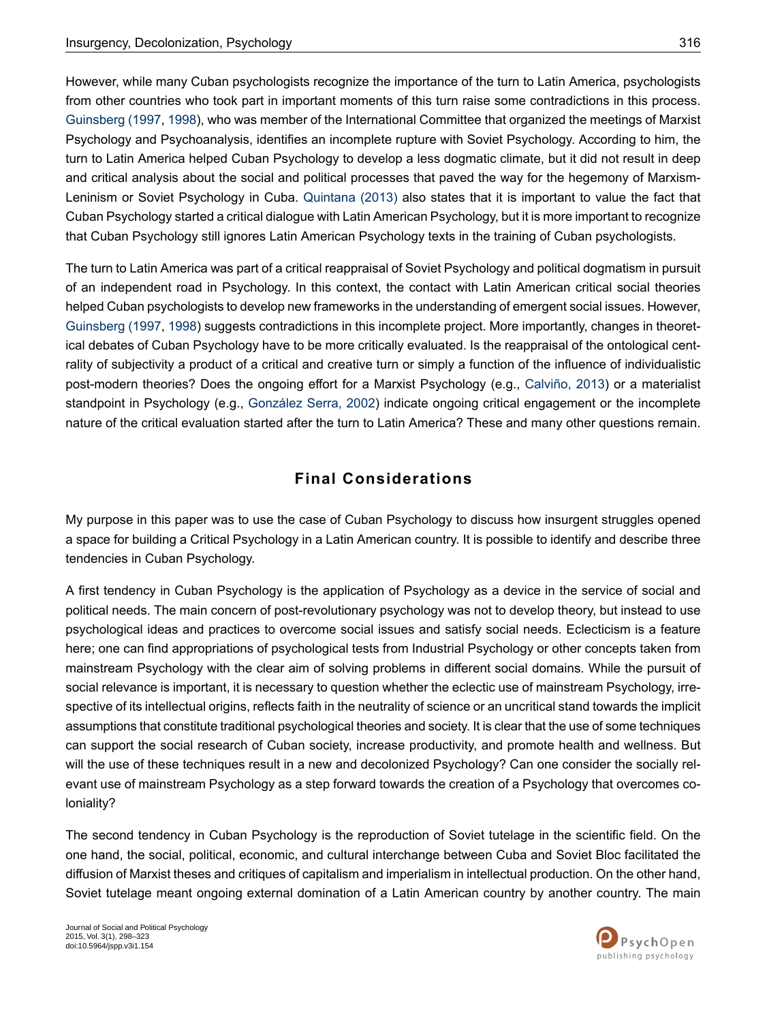However, while many Cuban psychologists recognize the importance of the turn to Latin America, psychologists from other countries who took part in important moments of this turn raise some contradictions in this process. [Guinsberg](#page-23-21) (1997, [1998\)](#page-23-22), who was member of the International Committee that organized the meetings of Marxist Psychology and Psychoanalysis, identifies an incomplete rupture with Soviet Psychology. According to him, the turn to Latin America helped Cuban Psychology to develop a less dogmatic climate, but it did not result in deep and critical analysis about the social and political processes that paved the way for the hegemony of Marxism-Leninism or Soviet Psychology in Cuba. [Quintana](#page-24-19) (2013) also states that it is important to value the fact that Cuban Psychology started a critical dialogue with Latin American Psychology, but it is more important to recognize that Cuban Psychology still ignores Latin American Psychology texts in the training of Cuban psychologists.

The turn to Latin America was part of a critical reappraisal of Soviet Psychology and political dogmatism in pursuit of an independent road in Psychology. In this context, the contact with Latin American critical social theories helped Cuban psychologists to develop new frameworks in the understanding of emergent social issues. However, [Guinsberg](#page-23-21) (1997, [1998\)](#page-23-22) suggests contradictions in this incomplete project. More importantly, changes in theoretical debates of Cuban Psychology have to be more critically evaluated. Is the reappraisal of the ontological centrality of subjectivity a product of a critical and creative turn or simply a function of the influence of individualistic post-modern theories? Does the ongoing effort for a Marxist Psychology (e.g., [Calviño,](#page-21-20) 2013) or a materialist standpoint in Psychology (e.g., [González](#page-23-20) Serra, 2002) indicate ongoing critical engagement or the incomplete nature of the critical evaluation started after the turn to Latin America? These and many other questions remain.

### **Final Considerations**

My purpose in this paper was to use the case of Cuban Psychology to discuss how insurgent struggles opened a space for building a Critical Psychology in a Latin American country. It is possible to identify and describe three tendencies in Cuban Psychology.

A first tendency in Cuban Psychology is the application of Psychology as a device in the service of social and political needs. The main concern of post-revolutionary psychology was not to develop theory, but instead to use psychological ideas and practices to overcome social issues and satisfy social needs. Eclecticism is a feature here; one can find appropriations of psychological tests from Industrial Psychology or other concepts taken from mainstream Psychology with the clear aim of solving problems in different social domains. While the pursuit of social relevance is important, it is necessary to question whether the eclectic use of mainstream Psychology, irrespective of its intellectual origins, reflects faith in the neutrality of science or an uncritical stand towards the implicit assumptions that constitute traditional psychological theories and society. It is clear that the use of some techniques can support the social research of Cuban society, increase productivity, and promote health and wellness. But will the use of these techniques result in a new and decolonized Psychology? Can one consider the socially relevant use of mainstream Psychology as a step forward towards the creation of a Psychology that overcomes coloniality?

The second tendency in Cuban Psychology is the reproduction of Soviet tutelage in the scientific field. On the one hand, the social, political, economic, and cultural interchange between Cuba and Soviet Bloc facilitated the diffusion of Marxist theses and critiques of capitalism and imperialism in intellectual production. On the other hand, Soviet tutelage meant ongoing external domination of a Latin American country by another country. The main

Journal of Social and Political Psychology 2015, Vol. 3(1), 298–323 doi:10.5964/jspp.v3i1.154

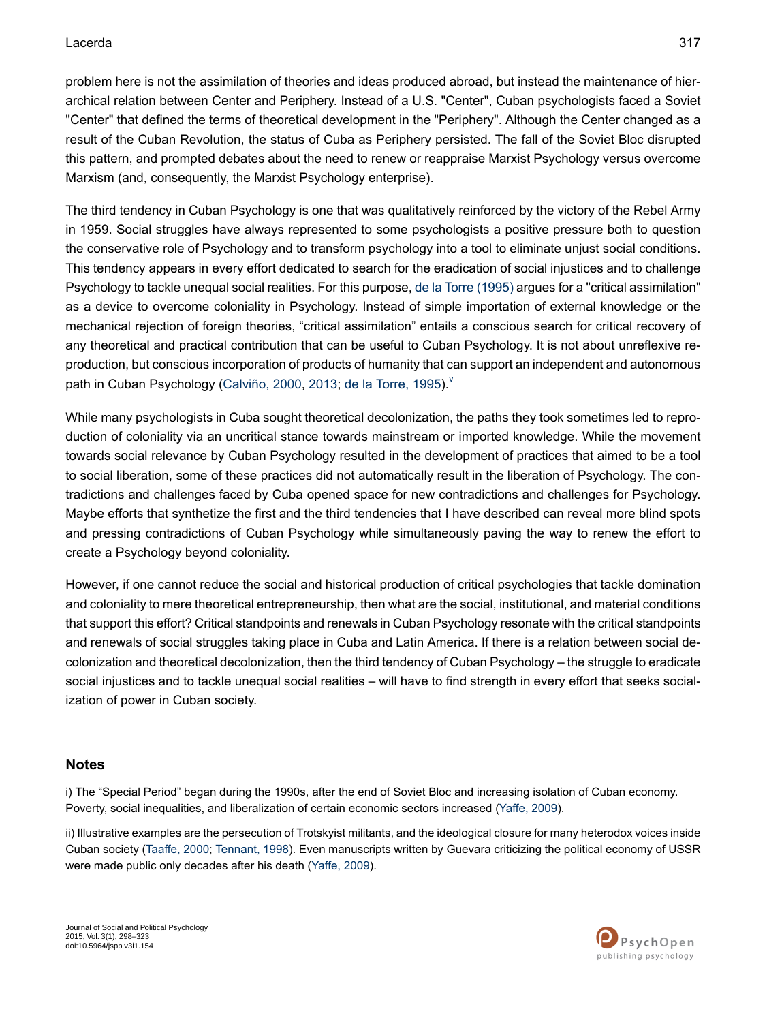problem here is not the assimilation of theories and ideas produced abroad, but instead the maintenance of hierarchical relation between Center and Periphery. Instead of a U.S. "Center", Cuban psychologists faced a Soviet "Center" that defined the terms of theoretical development in the "Periphery". Although the Center changed as a result of the Cuban Revolution, the status of Cuba as Periphery persisted. The fall of the Soviet Bloc disrupted this pattern, and prompted debates about the need to renew or reappraise Marxist Psychology versus overcome Marxism (and, consequently, the Marxist Psychology enterprise).

The third tendency in Cuban Psychology is one that was qualitatively reinforced by the victory of the Rebel Army in 1959. Social struggles have always represented to some psychologists a positive pressure both to question the conservative role of Psychology and to transform psychology into a tool to eliminate unjust social conditions. This tendency appears in every effort dedicated to search for the eradication of social injustices and to challenge Psychology to tackle unequal social realities. For this purpose, de la Torre [\(1995\)](#page-21-2) argues for a "critical assimilation" as a device to overcome coloniality in Psychology. Instead of simple importation of external knowledge or the mechanical rejection of foreign theories, "critical assimilation" entails a conscious search for critical recovery of any theoretical and practical contribution that can be useful to Cuban Psychology. It is not about unreflexive reproduction, but conscious incorporation of products of humanity that can support an independent and autonomous path in Cuban Psychology [\(Calviño,](#page-20-7) 2000, [2013](#page-21-20); de la [Torre,](#page-21-2) 1995).

While many psychologists in Cuba sought theoretical decolonization, the paths they took sometimes led to reproduction of coloniality via an uncritical stance towards mainstream or imported knowledge. While the movement towards social relevance by Cuban Psychology resulted in the development of practices that aimed to be a tool to social liberation, some of these practices did not automatically result in the liberation of Psychology. The contradictions and challenges faced by Cuba opened space for new contradictions and challenges for Psychology. Maybe efforts that synthetize the first and the third tendencies that I have described can reveal more blind spots and pressing contradictions of Cuban Psychology while simultaneously paving the way to renew the effort to create a Psychology beyond coloniality.

However, if one cannot reduce the social and historical production of critical psychologies that tackle domination and coloniality to mere theoretical entrepreneurship, then what are the social, institutional, and material conditions that support this effort? Critical standpoints and renewals in Cuban Psychology resonate with the critical standpoints and renewals of social struggles taking place in Cuba and Latin America. If there is a relation between social decolonization and theoretical decolonization, then the third tendency of Cuban Psychology – the struggle to eradicate social injustices and to tackle unequal social realities – will have to find strength in every effort that seeks socialization of power in Cuban society.

#### <span id="page-19-1"></span><span id="page-19-0"></span>**Notes**

i) The "Special Period" began during the 1990s, after the end of Soviet Bloc and increasing isolation of Cuban economy. Poverty, social inequalities, and liberalization of certain economic sectors increased ([Yaffe,](#page-25-0) 2009).

ii) Illustrative examples are the persecution of Trotskyist militants, and the ideological closure for many heterodox voices inside Cuban society [\(Taaffe,](#page-24-3) 2000; [Tennant,](#page-24-20) 1998). Even manuscripts written by Guevara criticizing the political economy of USSR were made public only decades after his death [\(Yaffe,](#page-25-0) 2009).

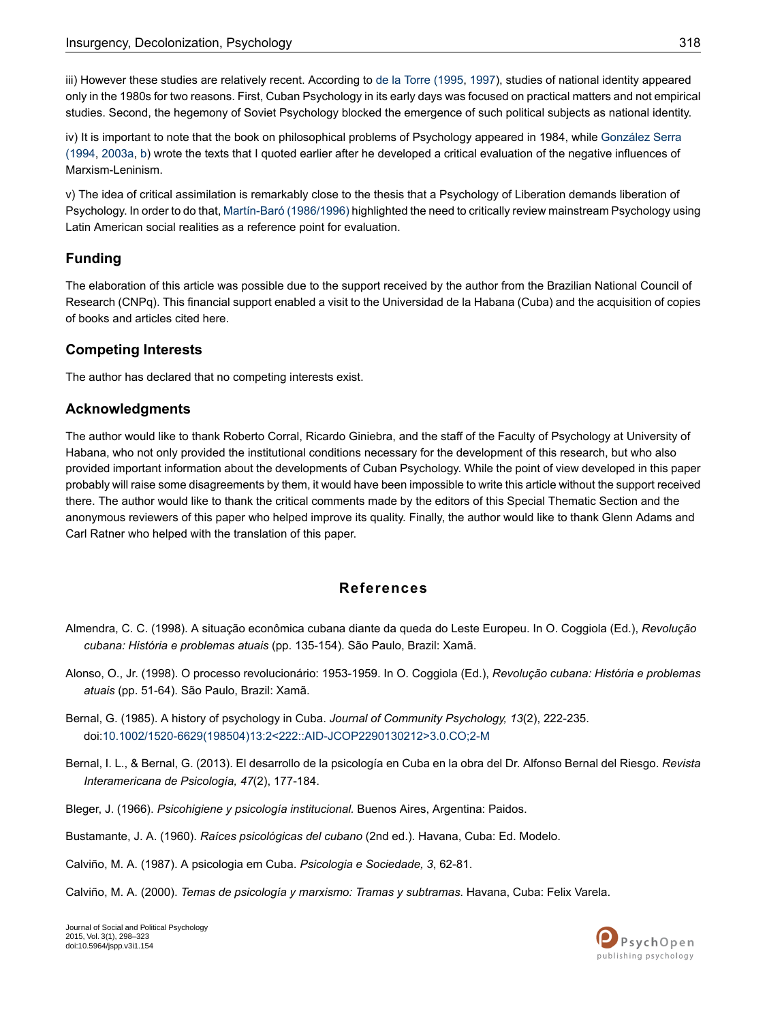<span id="page-20-5"></span>iii) However these studies are relatively recent. According to de la Torre [\(1995,](#page-21-2) [1997\)](#page-21-10), studies of national identity appeared only in the 1980s for two reasons. First, Cuban Psychology in its early days was focused on practical matters and not empirical studies. Second, the hegemony of Soviet Psychology blocked the emergence of such political subjects as national identity.

<span id="page-20-8"></span>iv) It is important to note that the book on philosophical problems of Psychology appeared in 1984, while [González](#page-23-10) Serra [\(1994](#page-23-10), [2003a](#page-23-11), [b](#page-23-12)) wrote the texts that I quoted earlier after he developed a critical evaluation of the negative influences of Marxism-Leninism.

<span id="page-20-10"></span>v) The idea of critical assimilation is remarkably close to the thesis that a Psychology of Liberation demands liberation of Psychology. In order to do that, Martín-Baró [\(1986/1996\)](#page-23-0) highlighted the need to critically review mainstream Psychology using Latin American social realities as a reference point for evaluation.

### **Funding**

The elaboration of this article was possible due to the support received by the author from the Brazilian National Council of Research (CNPq). This financial support enabled a visit to the Universidad de la Habana (Cuba) and the acquisition of copies of books and articles cited here.

#### **Competing Interests**

The author has declared that no competing interests exist.

#### **Acknowledgments**

The author would like to thank Roberto Corral, Ricardo Giniebra, and the staff of the Faculty of Psychology at University of Habana, who not only provided the institutional conditions necessary for the development of this research, but who also provided important information about the developments of Cuban Psychology. While the point of view developed in this paper probably will raise some disagreements by them, it would have been impossible to write this article without the support received there. The author would like to thank the critical comments made by the editors of this Special Thematic Section and the anonymous reviewers of this paper who helped improve its quality. Finally, the author would like to thank Glenn Adams and Carl Ratner who helped with the translation of this paper.

#### **References**

- <span id="page-20-2"></span><span id="page-20-1"></span><span id="page-20-0"></span>Almendra, C. C. (1998). A situação econômica cubana diante da queda do Leste Europeu. In O. Coggiola (Ed.), *Revolução cubana: História e problemas atuais* (pp. 135-154). São Paulo, Brazil: Xamã.
- <span id="page-20-6"></span>Alonso, O., Jr. (1998). O processo revolucionário: 1953-1959. In O. Coggiola (Ed.), *Revolução cubana: História e problemas atuais* (pp. 51-64). São Paulo, Brazil: Xamã.
- <span id="page-20-9"></span>Bernal, G. (1985). A history of psychology in Cuba. *Journal of Community Psychology, 13*(2), 222-235. doi:[10.1002/1520-6629\(198504\)13:2<222::AID-JCOP2290130212>3.0.CO;2-M](http://dx.doi.org/10.1002/1520-6629(198504)13:2<222::AID-JCOP2290130212>3.0.CO;2-M)
- <span id="page-20-4"></span><span id="page-20-3"></span>Bernal, I. L., & Bernal, G. (2013). El desarrollo de la psicología en Cuba en la obra del Dr. Alfonso Bernal del Riesgo. *Revista Interamericana de Psicología, 47*(2), 177-184.
- <span id="page-20-7"></span>Bleger, J. (1966). *Psicohigiene y psicología institucional.* Buenos Aires, Argentina: Paidos.
- Bustamante, J. A. (1960). *Raíces psicológicas del cubano* (2nd ed.). Havana, Cuba: Ed. Modelo.
- Calviño, M. A. (1987). A psicologia em Cuba. *Psicologia e Sociedade, 3*, 62-81.

Calviño, M. A. (2000). *Temas de psicología y marxismo: Tramas y subtramas*. Havana, Cuba: Felix Varela.

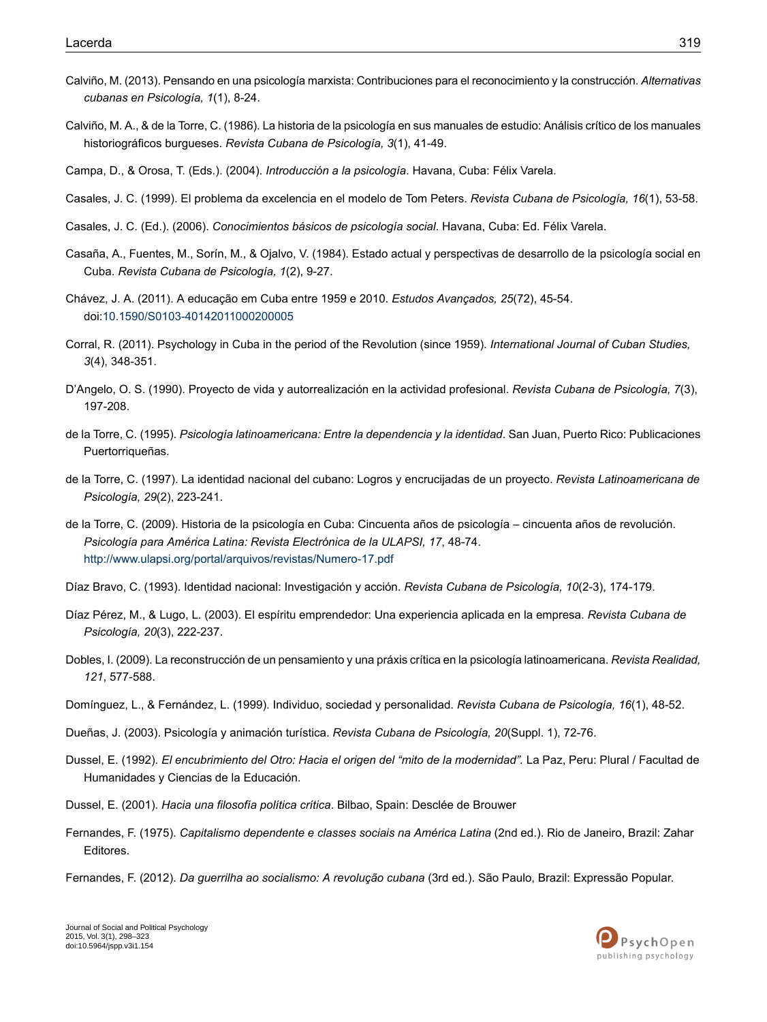- <span id="page-21-20"></span>Calviño, M. (2013). Pensando en una psicología marxista: Contribuciones para el reconocimiento y la construcción. *Alternativas cubanas en Psicología, 1*(1), 8-24.
- <span id="page-21-12"></span>Calviño, M. A., & de la Torre, C. (1986). La historia de la psicología en sus manuales de estudio: Análisis crítico de los manuales historiográficos burgueses. *Revista Cubana de Psicología, 3*(1), 41-49.
- <span id="page-21-18"></span><span id="page-21-13"></span>Campa, D., & Orosa, T. (Eds.). (2004). *Introducción a la psicología*. Havana, Cuba: Félix Varela.
- <span id="page-21-19"></span>Casales, J. C. (1999). El problema da excelencia en el modelo de Tom Peters. *Revista Cubana de Psicología, 16*(1), 53-58.
- <span id="page-21-8"></span>Casales, J. C. (Ed.). (2006). *Conocimientos básicos de psicología social*. Havana, Cuba: Ed. Félix Varela.
- <span id="page-21-6"></span>Casaña, A., Fuentes, M., Sorín, M., & Ojalvo, V. (1984). Estado actual y perspectivas de desarrollo de la psicología social en Cuba. *Revista Cubana de Psicología, 1*(2), 9-27.
- <span id="page-21-9"></span>Chávez, J. A. (2011). A educação em Cuba entre 1959 e 2010. *Estudos Avançados, 25*(72), 45-54. doi:[10.1590/S0103-40142011000200005](http://dx.doi.org/10.1590/S0103-40142011000200005)
- <span id="page-21-16"></span>Corral, R. (2011). Psychology in Cuba in the period of the Revolution (since 1959). *International Journal of Cuban Studies, 3*(4), 348-351.
- <span id="page-21-2"></span>D'Angelo, O. S. (1990). Proyecto de vida y autorrealización en la actividad profesional. *Revista Cubana de Psicología, 7*(3), 197-208.
- <span id="page-21-10"></span>de la Torre, C. (1995). *Psicología latinoamericana: Entre la dependencia y la identidad*. San Juan, Puerto Rico: Publicaciones Puertorriqueñas.
- <span id="page-21-7"></span>de la Torre, C. (1997). La identidad nacional del cubano: Logros y encrucijadas de un proyecto. *Revista Latinoamericana de Psicología, 29*(2), 223-241.
- <span id="page-21-14"></span><span id="page-21-11"></span>de la Torre, C. (2009). Historia de la psicología en Cuba: Cincuenta años de psicología – cincuenta años de revolución. *Psicología para América Latina: Revista Electrónica de la ULAPSI, 17*, 48-74. <http://www.ulapsi.org/portal/arquivos/revistas/Numero-17.pdf>
- <span id="page-21-0"></span>Díaz Bravo, C. (1993). Identidad nacional: Investigación y acción. *Revista Cubana de Psicología, 10*(2-3), 174-179.
- <span id="page-21-17"></span>Díaz Pérez, M., & Lugo, L. (2003). El espíritu emprendedor: Una experiencia aplicada en la empresa. *Revista Cubana de Psicología, 20*(3), 222-237.
- <span id="page-21-15"></span><span id="page-21-3"></span>Dobles, I. (2009). La reconstrucción de un pensamiento y una práxis crítica en la psicología latinoamericana. *Revista Realidad, 121*, 577-588.
- Domínguez, L., & Fernández, L. (1999). Individuo, sociedad y personalidad. *Revista Cubana de Psicología, 16*(1), 48-52.
- <span id="page-21-1"></span>Dueñas, J. (2003). Psicología y animación turística. *Revista Cubana de Psicología, 20*(Suppl. 1), 72-76.
- <span id="page-21-4"></span>Dussel, E. (1992). *El encubrimiento del Otro: Hacia el origen del "mito de la modernidad".* La Paz, Peru: Plural / Facultad de Humanidades y Ciencias de la Educación.
- <span id="page-21-5"></span>Dussel, E. (2001). *Hacia una filosofía política crítica*. Bilbao, Spain: Desclée de Brouwer
- Fernandes, F. (1975). *Capitalismo dependente e classes sociais na América Latina* (2nd ed.). Rio de Janeiro, Brazil: Zahar Editores.
- Fernandes, F. (2012). *Da guerrilha ao socialismo: A revolução cubana* (3rd ed.). São Paulo, Brazil: Expressão Popular.

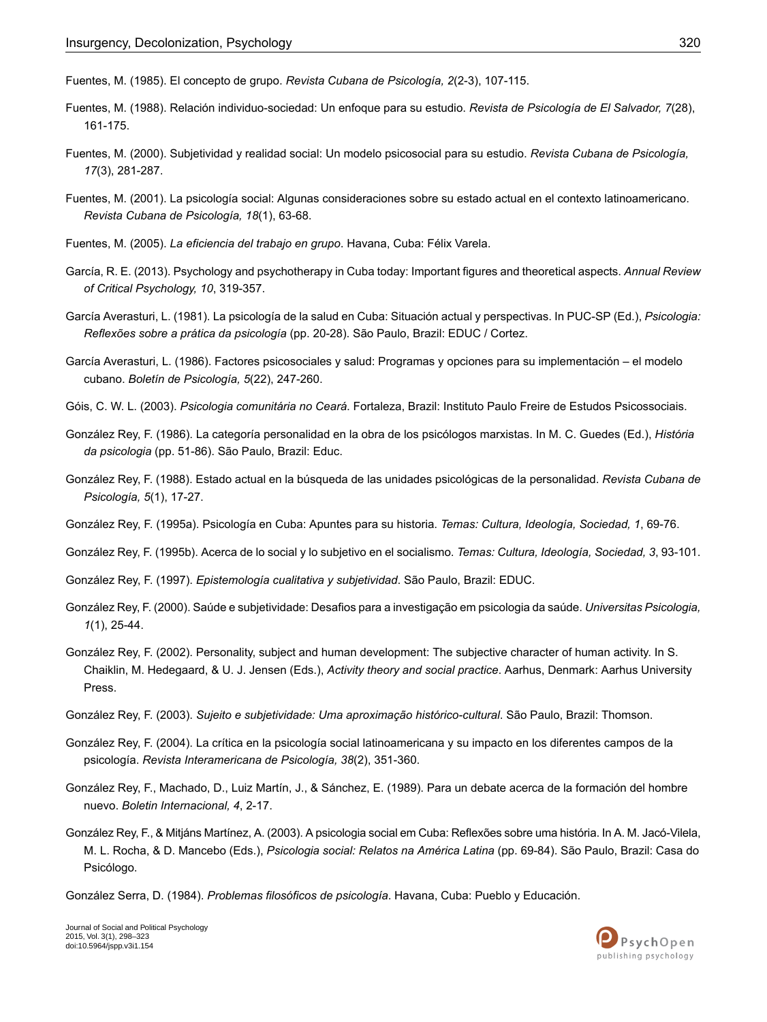<span id="page-22-12"></span>Fuentes, M. (1985). El concepto de grupo. *Revista Cubana de Psicología, 2*(2-3), 107-115.

- <span id="page-22-8"></span>Fuentes, M. (1988). Relación individuo-sociedad: Un enfoque para su estudio. *Revista de Psicología de El Salvador, 7*(28), 161-175.
- <span id="page-22-9"></span>Fuentes, M. (2000). Subjetividad y realidad social: Un modelo psicosocial para su estudio. *Revista Cubana de Psicología, 17*(3), 281-287.
- <span id="page-22-10"></span><span id="page-22-4"></span>Fuentes, M. (2001). La psicología social: Algunas consideraciones sobre su estado actual en el contexto latinoamericano. *Revista Cubana de Psicología, 18*(1), 63-68.
- <span id="page-22-3"></span>Fuentes, M. (2005). *La eficiencia del trabajo en grupo*. Havana, Cuba: Félix Varela.
- <span id="page-22-5"></span>García, R. E. (2013). Psychology and psychotherapy in Cuba today: Important figures and theoretical aspects. *Annual Review of Critical Psychology, 10*, 319-357.
- <span id="page-22-6"></span>García Averasturi, L. (1981). La psicología de la salud en Cuba: Situación actual y perspectivas. In PUC-SP (Ed.), *Psicologia: Reflexões sobre a prática da psicología* (pp. 20-28). São Paulo, Brazil: EDUC / Cortez.
- <span id="page-22-0"></span>García Averasturi, L. (1986). Factores psicosociales y salud: Programas y opciones para su implementación – el modelo cubano. *Boletín de Psicología, 5*(22), 247-260.
- <span id="page-22-11"></span>Góis, C. W. L. (2003). *Psicologia comunitária no Ceará*. Fortaleza, Brazil: Instituto Paulo Freire de Estudos Psicossociais.
- <span id="page-22-13"></span>González Rey, F. (1986). La categoría personalidad en la obra de los psicólogos marxistas. In M. C. Guedes (Ed.), *História da psicologia* (pp. 51-86). São Paulo, Brazil: Educ.
- <span id="page-22-7"></span><span id="page-22-1"></span>González Rey, F. (1988). Estado actual en la búsqueda de las unidades psicológicas de la personalidad. *Revista Cubana de Psicología, 5*(1), 17-27.
- <span id="page-22-15"></span>González Rey, F. (1995a). Psicología en Cuba: Apuntes para su historia. *Temas: Cultura, Ideología, Sociedad, 1*, 69-76.
- <span id="page-22-18"></span>González Rey, F. (1995b). Acerca de lo social y lo subjetivo en el socialismo. *Temas: Cultura, Ideología, Sociedad, 3*, 93-101.
- <span id="page-22-16"></span>González Rey, F. (1997). *Epistemología cualitativa y subjetividad*. São Paulo, Brazil: EDUC.
- González Rey, F. (2000). Saúde e subjetividade: Desafios para a investigação em psicologia da saúde. *Universitas Psicologia, 1*(1), 25-44.
- <span id="page-22-20"></span><span id="page-22-17"></span>González Rey, F. (2002). Personality, subject and human development: The subjective character of human activity. In S. Chaiklin, M. Hedegaard, & U. J. Jensen (Eds.), *Activity theory and social practice*. Aarhus, Denmark: Aarhus University Press.
- <span id="page-22-14"></span>González Rey, F. (2003). *Sujeito e subjetividade: Uma aproximação histórico-cultural*. São Paulo, Brazil: Thomson.
- <span id="page-22-2"></span>González Rey, F. (2004). La crítica en la psicología social latinoamericana y su impacto en los diferentes campos de la psicología. *Revista Interamericana de Psicología, 38*(2), 351-360.
- <span id="page-22-19"></span>González Rey, F., Machado, D., Luiz Martín, J., & Sánchez, E. (1989). Para un debate acerca de la formación del hombre nuevo. *Boletin Internacional, 4*, 2-17.
- González Rey, F., & Mitjáns Martínez, A. (2003). A psicologia social em Cuba: Reflexões sobre uma história. In A. M. Jacó-Vilela, M. L. Rocha, & D. Mancebo (Eds.), *Psicologia social: Relatos na América Latina* (pp. 69-84). São Paulo, Brazil: Casa do Psicólogo.

González Serra, D. (1984). *Problemas filosóficos de psicología*. Havana, Cuba: Pueblo y Educación.

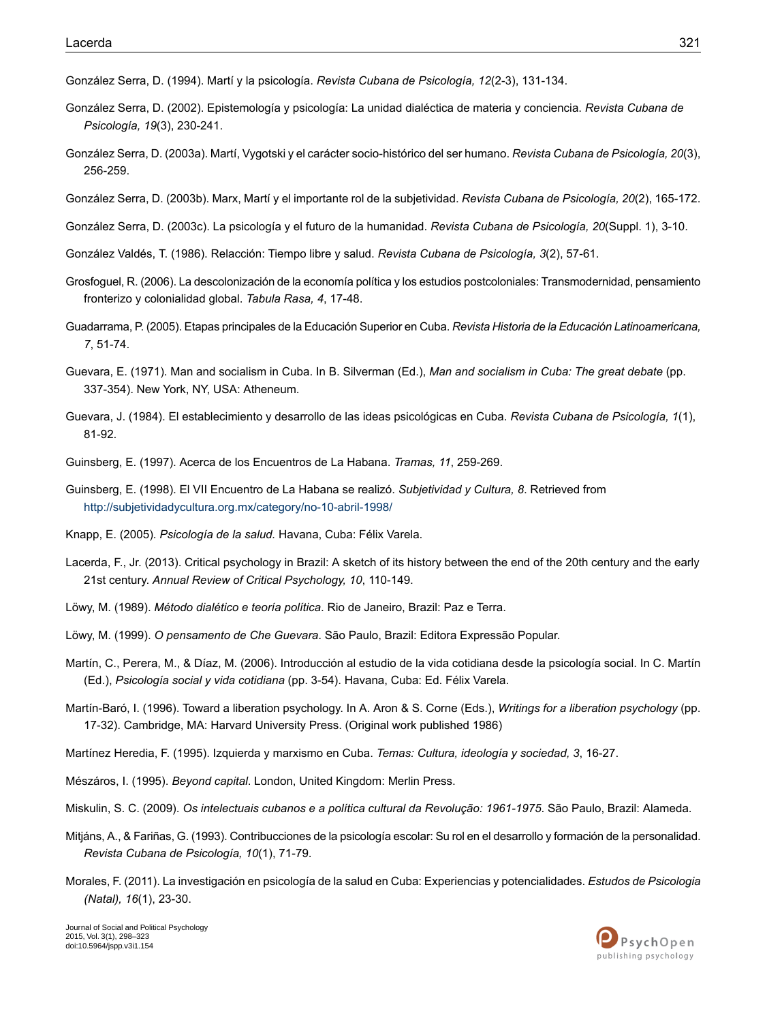<span id="page-23-10"></span>González Serra, D. (1994). Martí y la psicología. *Revista Cubana de Psicología, 12*(2-3), 131-134.

- <span id="page-23-20"></span>González Serra, D. (2002). Epistemología y psicología: La unidad dialéctica de materia y conciencia. *Revista Cubana de Psicología, 19*(3), 230-241.
- <span id="page-23-11"></span>González Serra, D. (2003a). Martí, Vygotski y el carácter socio-histórico del ser humano. *Revista Cubana de Psicología, 20*(3), 256-259.
- <span id="page-23-13"></span><span id="page-23-12"></span>González Serra, D. (2003b). Marx, Martí y el importante rol de la subjetividad. *Revista Cubana de Psicología, 20*(2), 165-172.
- <span id="page-23-18"></span>González Serra, D. (2003c). La psicología y el futuro de la humanidad. *Revista Cubana de Psicología, 20*(Suppl. 1), 3-10.
- <span id="page-23-2"></span>González Valdés, T. (1986). Relacción: Tiempo libre y salud. *Revista Cubana de Psicología, 3*(2), 57-61.
- <span id="page-23-4"></span>Grosfoguel, R. (2006). La descolonización de la economía política y los estudios postcoloniales: Transmodernidad, pensamiento fronterizo y colonialidad global. *Tabula Rasa, 4*, 17-48.
- <span id="page-23-8"></span>Guadarrama, P. (2005). Etapas principales de la Educación Superior en Cuba. *Revista Historia de la Educación Latinoamericana, 7*, 51-74.
- <span id="page-23-9"></span>Guevara, E. (1971). Man and socialism in Cuba. In B. Silverman (Ed.), *Man and socialism in Cuba: The great debate* (pp. 337-354). New York, NY, USA: Atheneum.
- <span id="page-23-22"></span><span id="page-23-21"></span>Guevara, J. (1984). El establecimiento y desarrollo de las ideas psicológicas en Cuba. *Revista Cubana de Psicología, 1*(1), 81-92.
- Guinsberg, E. (1997). Acerca de los Encuentros de La Habana. *Tramas, 11*, 259-269.
- <span id="page-23-5"></span><span id="page-23-1"></span>Guinsberg, E. (1998). El VII Encuentro de La Habana se realizó. *Subjetividad y Cultura, 8*. Retrieved from <http://subjetividadycultura.org.mx/category/no-10-abril-1998/>
- <span id="page-23-3"></span>Knapp, E. (2005). *Psicología de la salud.* Havana, Cuba: Félix Varela.
- <span id="page-23-17"></span>Lacerda, F., Jr. (2013). Critical psychology in Brazil: A sketch of its history between the end of the 20th century and the early 21st century. *Annual Review of Critical Psychology, 10*, 110-149.
- <span id="page-23-14"></span>Löwy, M. (1989). *Método dialético e teoría política*. Rio de Janeiro, Brazil: Paz e Terra.
- <span id="page-23-0"></span>Löwy, M. (1999). *O pensamento de Che Guevara*. São Paulo, Brazil: Editora Expressão Popular.
- <span id="page-23-7"></span>Martín, C., Perera, M., & Díaz, M. (2006). Introducción al estudio de la vida cotidiana desde la psicología social. In C. Martín (Ed.), *Psicología social y vida cotidiana* (pp. 3-54). Havana, Cuba: Ed. Félix Varela.
- <span id="page-23-16"></span><span id="page-23-6"></span>Martín-Baró, I. (1996). Toward a liberation psychology. In A. Aron & S. Corne (Eds.), *Writings for a liberation psychology* (pp. 17-32). Cambridge, MA: Harvard University Press. (Original work published 1986)
- <span id="page-23-19"></span>Martínez Heredia, F. (1995). Izquierda y marxismo en Cuba. *Temas: Cultura, ideología y sociedad, 3*, 16-27.
- <span id="page-23-15"></span>Mészáros, I. (1995). *Beyond capital*. London, United Kingdom: Merlin Press.
- Miskulin, S. C. (2009). *Os intelectuais cubanos e a política cultural da Revolução: 1961-1975*. São Paulo, Brazil: Alameda.
- Mitjáns, A., & Fariñas, G. (1993). Contribucciones de la psicología escolar: Su rol en el desarrollo y formación de la personalidad. *Revista Cubana de Psicología, 10*(1), 71-79.
- Morales, F. (2011). La investigación en psicología de la salud en Cuba: Experiencias y potencialidades. *Estudos de Psicologia (Natal), 16*(1), 23-30.

PsychOpen publishing psychology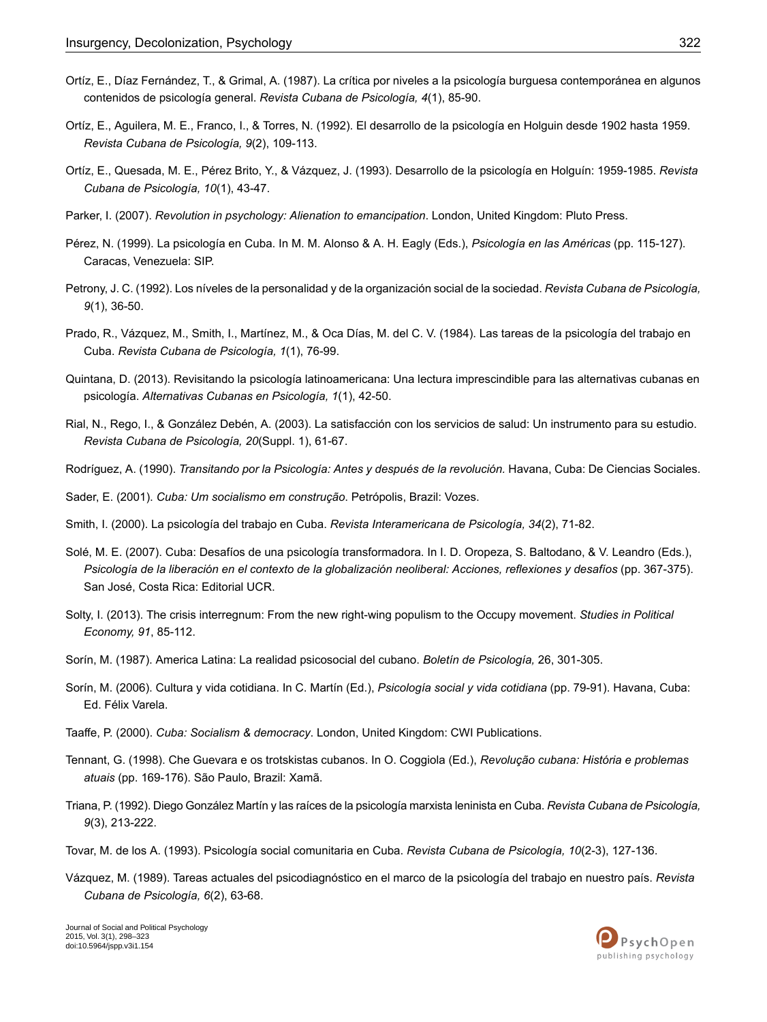- <span id="page-24-17"></span>Ortíz, E., Díaz Fernández, T., & Grimal, A. (1987). La crítica por niveles a la psicología burguesa contemporánea en algunos contenidos de psicología general. *Revista Cubana de Psicología, 4*(1), 85-90.
- <span id="page-24-4"></span>Ortíz, E., Aguilera, M. E., Franco, I., & Torres, N. (1992). El desarrollo de la psicología en Holguin desde 1902 hasta 1959. *Revista Cubana de Psicología, 9*(2), 109-113.
- <span id="page-24-6"></span><span id="page-24-1"></span>Ortíz, E., Quesada, M. E., Pérez Brito, Y., & Vázquez, J. (1993). Desarrollo de la psicología en Holguín: 1959-1985. *Revista Cubana de Psicología, 10*(1), 43-47.
- <span id="page-24-14"></span>Parker, I. (2007). *Revolution in psychology: Alienation to emancipation*. London, United Kingdom: Pluto Press.
- <span id="page-24-16"></span>Pérez, N. (1999). La psicología en Cuba. In M. M. Alonso & A. H. Eagly (Eds.), *Psicología en las Américas* (pp. 115-127). Caracas, Venezuela: SIP.
- <span id="page-24-11"></span>Petrony, J. C. (1992). Los níveles de la personalidad y de la organización social de la sociedad. *Revista Cubana de Psicología, 9*(1), 36-50.
- <span id="page-24-19"></span>Prado, R., Vázquez, M., Smith, I., Martínez, M., & Oca Días, M. del C. V. (1984). Las tareas de la psicología del trabajo en Cuba. *Revista Cubana de Psicología, 1*(1), 76-99.
- <span id="page-24-15"></span>Quintana, D. (2013). Revisitando la psicología latinoamericana: Una lectura imprescindible para las alternativas cubanas en psicología. *Alternativas Cubanas en Psicología, 1*(1), 42-50.
- <span id="page-24-5"></span><span id="page-24-2"></span>Rial, N., Rego, I., & González Debén, A. (2003). La satisfacción con los servicios de salud: Un instrumento para su estudio. *Revista Cubana de Psicología, 20*(Suppl. 1), 61-67.
- <span id="page-24-12"></span>Rodríguez, A. (1990). *Transitando por la Psicología: Antes y después de la revolución.* Havana, Cuba: De Ciencias Sociales.

<span id="page-24-7"></span>Sader, E. (2001). *Cuba: Um socialismo em construção*. Petrópolis, Brazil: Vozes.

- Smith, I. (2000). La psicología del trabajo en Cuba. *Revista Interamericana de Psicología, 34*(2), 71-82.
- <span id="page-24-0"></span>Solé, M. E. (2007). Cuba: Desafíos de una psicología transformadora. In I. D. Oropeza, S. Baltodano, & V. Leandro (Eds.), Psicología de la liberación en el contexto de la globalización neoliberal: Acciones, reflexiones y desafíos (pp. 367-375). San José, Costa Rica: Editorial UCR.
- <span id="page-24-10"></span><span id="page-24-8"></span>Solty, I. (2013). The crisis interregnum: From the new right-wing populism to the Occupy movement. *Studies in Political Economy, 91*, 85-112.
- <span id="page-24-3"></span>Sorín, M. (1987). America Latina: La realidad psicosocial del cubano. *Boletín de Psicología,* 26, 301-305.
- <span id="page-24-20"></span>Sorín, M. (2006). Cultura y vida cotidiana. In C. Martín (Ed.), *Psicología social y vida cotidiana* (pp. 79-91). Havana, Cuba: Ed. Félix Varela.
- <span id="page-24-18"></span>Taaffe, P. (2000). *Cuba: Socialism & democracy*. London, United Kingdom: CWI Publications.
- <span id="page-24-9"></span>Tennant, G. (1998). Che Guevara e os trotskistas cubanos. In O. Coggiola (Ed.), *Revolução cubana: História e problemas atuais* (pp. 169-176). São Paulo, Brazil: Xamã.
- <span id="page-24-13"></span>Triana, P. (1992). Diego González Martín y las raíces de la psicología marxista leninista en Cuba. *Revista Cubana de Psicología, 9*(3), 213-222.
- Tovar, M. de los A. (1993). Psicología social comunitaria en Cuba. *Revista Cubana de Psicología, 10*(2-3), 127-136.
- Vázquez, M. (1989). Tareas actuales del psicodiagnóstico en el marco de la psicología del trabajo en nuestro país. *Revista Cubana de Psicología, 6*(2), 63-68.